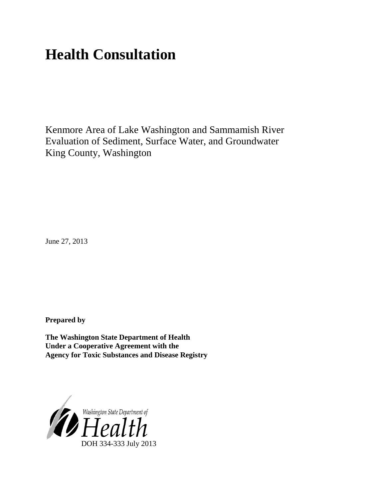# **Health Consultation**

Kenmore Area of Lake Washington and Sammamish River Evaluation of Sediment, Surface Water, and Groundwater King County, Washington

June 27, 2013

**Prepared by**

**The Washington State Department of Health Under a Cooperative Agreement with the Agency for Toxic Substances and Disease Registry**

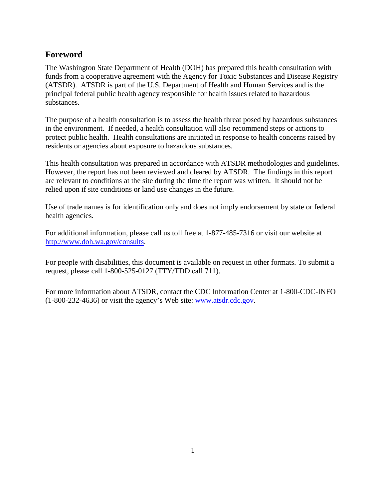### <span id="page-1-0"></span>**Foreword**

The Washington State Department of Health (DOH) has prepared this health consultation with funds from a cooperative agreement with the Agency for Toxic Substances and Disease Registry (ATSDR). ATSDR is part of the U.S. Department of Health and Human Services and is the principal federal public health agency responsible for health issues related to hazardous substances.

The purpose of a health consultation is to assess the health threat posed by hazardous substances in the environment. If needed, a health consultation will also recommend steps or actions to protect public health. Health consultations are initiated in response to health concerns raised by residents or agencies about exposure to hazardous substances.

This health consultation was prepared in accordance with ATSDR methodologies and guidelines. However, the report has not been reviewed and cleared by ATSDR. The findings in this report are relevant to conditions at the site during the time the report was written. It should not be relied upon if site conditions or land use changes in the future.

Use of trade names is for identification only and does not imply endorsement by state or federal health agencies.

For additional information, please call us toll free at 1-877-485-7316 or visit our website at <http://www.doh.wa.gov/consults>.

For people with disabilities, this document is available on request in other formats. To submit a request, please call 1-800-525-0127 (TTY/TDD call 711).

For more information about ATSDR, contact the CDC Information Center at 1-800-CDC-INFO (1-800-232-4636) or visit the agency's Web site: [www.atsdr.cdc.gov.](http://www.atsdr.cdc.gov/)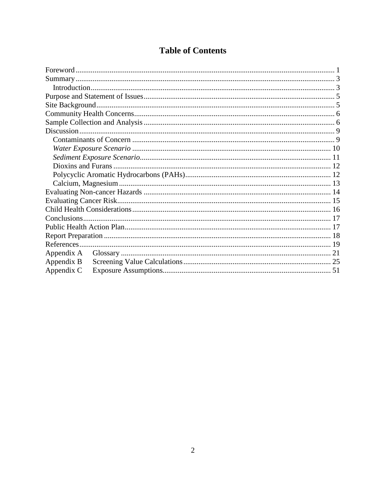### **Table of Contents**

| Appendix A |  |  |  |  |
|------------|--|--|--|--|
| Appendix B |  |  |  |  |
| Appendix C |  |  |  |  |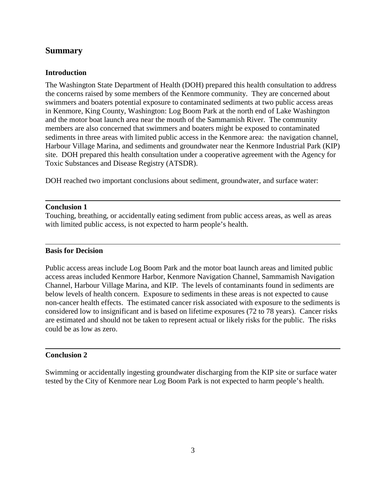### <span id="page-3-0"></span>**Summary**

#### <span id="page-3-1"></span>**Introduction**

The Washington State Department of Health (DOH) prepared this health consultation to address the concerns raised by some members of the Kenmore community. They are concerned about swimmers and boaters potential exposure to contaminated sediments at two public access areas in Kenmore, King County, Washington: Log Boom Park at the north end of Lake Washington and the motor boat launch area near the mouth of the Sammamish River. The community members are also concerned that swimmers and boaters might be exposed to contaminated sediments in three areas with limited public access in the Kenmore area: the navigation channel, Harbour Village Marina, and sediments and groundwater near the Kenmore Industrial Park (KIP) site. DOH prepared this health consultation under a cooperative agreement with the Agency for Toxic Substances and Disease Registry (ATSDR).

DOH reached two important conclusions about sediment, groundwater, and surface water:

#### **Conclusion 1**

Touching, breathing, or accidentally eating sediment from public access areas, as well as areas with limited public access, is not expected to harm people's health.

#### **Basis for Decision**

Public access areas include Log Boom Park and the motor boat launch areas and limited public access areas included Kenmore Harbor, Kenmore Navigation Channel, Sammamish Navigation Channel, Harbour Village Marina, and KIP. The levels of contaminants found in sediments are below levels of health concern. Exposure to sediments in these areas is not expected to cause non-cancer health effects. The estimated cancer risk associated with exposure to the sediments is considered low to insignificant and is based on lifetime exposures (72 to 78 years). Cancer risks are estimated and should not be taken to represent actual or likely risks for the public. The risks could be as low as zero.

#### **Conclusion 2**

Swimming or accidentally ingesting groundwater discharging from the KIP site or surface water tested by the City of Kenmore near Log Boom Park is not expected to harm people's health.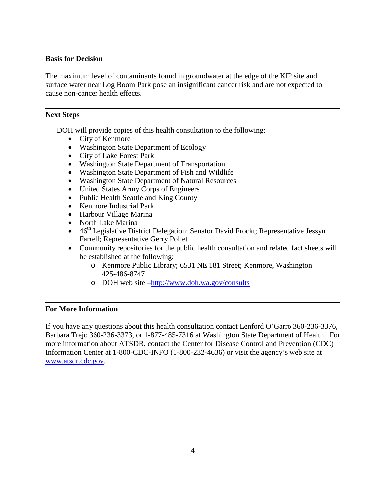#### **Basis for Decision**

The maximum level of contaminants found in groundwater at the edge of the KIP site and surface water near Log Boom Park pose an insignificant cancer risk and are not expected to cause non-cancer health effects.

#### **Next Steps**

DOH will provide copies of this health consultation to the following:

- City of Kenmore
- Washington State Department of Ecology
- City of Lake Forest Park
- Washington State Department of Transportation
- Washington State Department of Fish and Wildlife
- Washington State Department of Natural Resources
- United States Army Corps of Engineers
- Public Health Seattle and King County
- Kenmore Industrial Park
- Harbour Village Marina
- North Lake Marina
- $46<sup>th</sup>$  Legislative District Delegation: Senator David Frockt; Representative Jessyn Farrell; Representative Gerry Pollet
- Community repositories for the public health consultation and related fact sheets will be established at the following:
	- o Kenmore Public Library; 6531 NE 181 Street; Kenmore, Washington 425-486-8747
	- o DOH web site [–http://www.doh.wa.gov/consults](http://www.doh.wa.gov/consults)

#### **For More Information**

If you have any questions about this health consultation contact Lenford O'Garro 360-236-3376, Barbara Trejo 360-236-3373, or 1-877-485-7316 at Washington State Department of Health. For more information about ATSDR, contact the Center for Disease Control and Prevention (CDC) Information Center at 1-800-CDC-INFO (1-800-232-4636) or visit the agency's web site at [www.atsdr.cdc.gov.](http://www.atsdr.cdc.gov/)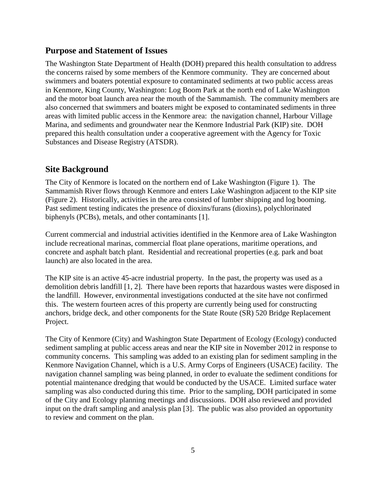#### <span id="page-5-0"></span>**Purpose and Statement of Issues**

The Washington State Department of Health (DOH) prepared this health consultation to address the concerns raised by some members of the Kenmore community. They are concerned about swimmers and boaters potential exposure to contaminated sediments at two public access areas in Kenmore, King County, Washington: Log Boom Park at the north end of Lake Washington and the motor boat launch area near the mouth of the Sammamish. The community members are also concerned that swimmers and boaters might be exposed to contaminated sediments in three areas with limited public access in the Kenmore area: the navigation channel, Harbour Village Marina, and sediments and groundwater near the Kenmore Industrial Park (KIP) site. DOH prepared this health consultation under a cooperative agreement with the Agency for Toxic Substances and Disease Registry (ATSDR).

#### <span id="page-5-1"></span>**Site Background**

The City of Kenmore is located on the northern end of Lake Washington (Figure 1). The Sammamish River flows through Kenmore and enters Lake Washington adjacent to the KIP site (Figure 2). Historically, activities in the area consisted of lumber shipping and log booming. Past sediment testing indicates the presence of dioxins/furans (dioxins), polychlorinated biphenyls (PCBs), metals, and other contaminants [1].

Current commercial and industrial activities identified in the Kenmore area of Lake Washington include recreational marinas, commercial float plane operations, maritime operations, and concrete and asphalt batch plant. Residential and recreational properties (e.g. park and boat launch) are also located in the area.

The KIP site is an active 45-acre industrial property. In the past, the property was used as a demolition debris landfill [1, 2]. There have been reports that hazardous wastes were disposed in the landfill. However, environmental investigations conducted at the site have not confirmed this. The western fourteen acres of this property are currently being used for constructing anchors, bridge deck, and other components for the State Route (SR) 520 Bridge Replacement Project.

The City of Kenmore (City) and Washington State Department of Ecology (Ecology) conducted sediment sampling at public access areas and near the KIP site in November 2012 in response to community concerns. This sampling was added to an existing plan for sediment sampling in the Kenmore Navigation Channel, which is a U.S. Army Corps of Engineers (USACE) facility. The navigation channel sampling was being planned, in order to evaluate the sediment conditions for potential maintenance dredging that would be conducted by the USACE. Limited surface water sampling was also conducted during this time. Prior to the sampling, DOH participated in some of the City and Ecology planning meetings and discussions. DOH also reviewed and provided input on the draft sampling and analysis plan [3]. The public was also provided an opportunity to review and comment on the plan.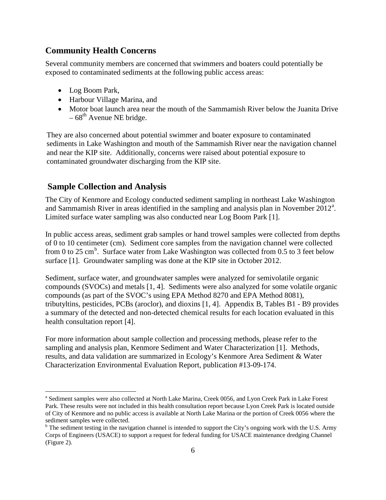### <span id="page-6-0"></span>**Community Health Concerns**

Several community members are concerned that swimmers and boaters could potentially be exposed to contaminated sediments at the following public access areas:

- Log Boom Park,
- Harbour Village Marina, and
- Motor boat launch area near the mouth of the Sammamish River below the Juanita Drive  $-68^{th}$  Avenue NE bridge.

They are also concerned about potential swimmer and boater exposure to contaminated sediments in Lake Washington and mouth of the Sammamish River near the navigation channel and near the KIP site. Additionally, concerns were raised about potential exposure to contaminated groundwater discharging from the KIP site.

### <span id="page-6-1"></span>**Sample Collection and Analysis**

 $\overline{a}$ 

The City of Kenmore and Ecology conducted sediment sampling in northeast Lake Washington [a](#page-6-2)nd Sammamish River in areas identified in the sampling and analysis plan in November  $2012^a$ . Limited surface water sampling was also conducted near Log Boom Park [1].

In public access areas, sediment grab samples or hand trowel samples were collected from depths of 0 to 10 centimeter (cm). Sediment core samples from the navigation channel were collected from 0 to 25 cm<sup>[b](#page-6-3)</sup>. Surface water from Lake Washington was collected from 0.5 to 3 feet below surface [1]. Groundwater sampling was done at the KIP site in October 2012.

Sediment, surface water, and groundwater samples were analyzed for semivolatile organic compounds (SVOCs) and metals [1, 4]. Sediments were also analyzed for some volatile organic compounds (as part of the SVOC's using EPA Method 8270 and EPA Method 8081), tributyltins, pesticides, PCBs (aroclor), and dioxins [1, 4]. Appendix B, Tables B1 - B9 provides a summary of the detected and non-detected chemical results for each location evaluated in this health consultation report [4].

For more information about sample collection and processing methods, please refer to the sampling and analysis plan, Kenmore Sediment and Water Characterization [1]. Methods, results, and data validation are summarized in Ecology's Kenmore Area Sediment & Water Characterization Environmental Evaluation Report, publication #13-09-174.

<span id="page-6-2"></span><sup>&</sup>lt;sup>a</sup> Sediment samples were also collected at North Lake Marina, Creek 0056, and Lyon Creek Park in Lake Forest Park. These results were not included in this health consultation report because Lyon Creek Park is located outside of City of Kenmore and no public access is available at North Lake Marina or the portion of Creek 0056 where the sediment samples were collected.

<span id="page-6-3"></span> $b$  The sediment testing in the navigation channel is intended to support the City's ongoing work with the U.S. Army Corps of Engineers (USACE) to support a request for federal funding for USACE maintenance dredging Channel (Figure 2).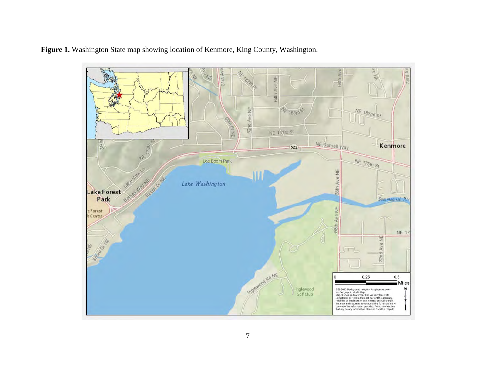

**Figure 1.** Washington State map showing location of Kenmore, King County, Washington.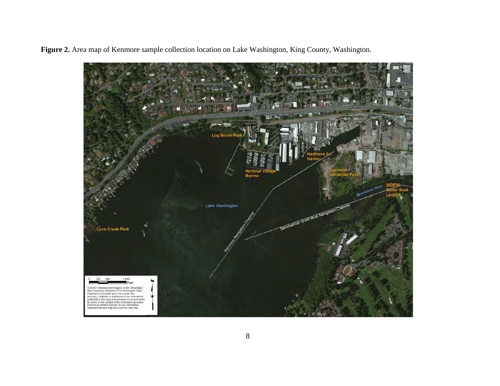**Figure 2.** Area map of Kenmore sample collection location on Lake Washington, King County, Washington.

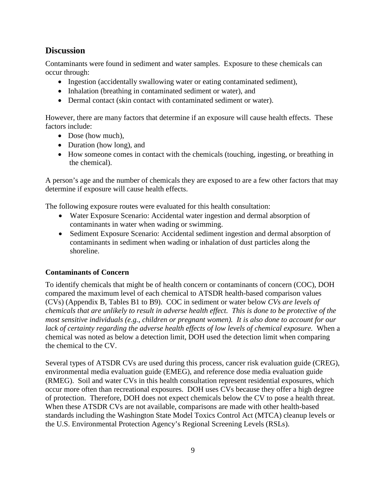### <span id="page-9-0"></span>**Discussion**

Contaminants were found in sediment and water samples. Exposure to these chemicals can occur through:

- Ingestion (accidentally swallowing water or eating contaminated sediment),
- Inhalation (breathing in contaminated sediment or water), and
- Dermal contact (skin contact with contaminated sediment or water).

However, there are many factors that determine if an exposure will cause health effects. These factors include:

- Dose (how much),
- Duration (how long), and
- How someone comes in contact with the chemicals (touching, ingesting, or breathing in the chemical).

A person's age and the number of chemicals they are exposed to are a few other factors that may determine if exposure will cause health effects.

The following exposure routes were evaluated for this health consultation:

- Water Exposure Scenario: Accidental water ingestion and dermal absorption of contaminants in water when wading or swimming.
- Sediment Exposure Scenario: Accidental sediment ingestion and dermal absorption of contaminants in sediment when wading or inhalation of dust particles along the shoreline.

#### <span id="page-9-1"></span>**Contaminants of Concern**

To identify chemicals that might be of health concern or contaminants of concern (COC), DOH compared the maximum level of each chemical to ATSDR health-based comparison values (CVs) (Appendix B, Tables B1 to B9). COC in sediment or water below *CVs are levels of chemicals that are unlikely to result in adverse health effect. This is done to be protective of the most sensitive individuals (e.g., children or pregnant women). It is also done to account for our lack of certainty regarding the adverse health effects of low levels of chemical exposure.* When a chemical was noted as below a detection limit, DOH used the detection limit when comparing the chemical to the CV.

Several types of ATSDR CVs are used during this process, cancer risk evaluation guide (CREG), environmental media evaluation guide (EMEG), and reference dose media evaluation guide (RMEG). Soil and water CVs in this health consultation represent residential exposures, which occur more often than recreational exposures. DOH uses CVs because they offer a high degree of protection. Therefore, DOH does not expect chemicals below the CV to pose a health threat. When these ATSDR CVs are not available, comparisons are made with other health-based standards including the Washington State Model Toxics Control Act (MTCA) cleanup levels or the U.S. Environmental Protection Agency's Regional Screening Levels (RSLs).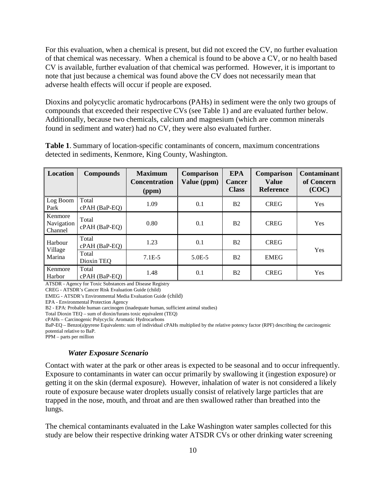For this evaluation, when a chemical is present, but did not exceed the CV, no further evaluation of that chemical was necessary. When a chemical is found to be above a CV, or no health based CV is available, further evaluation of that chemical was performed. However, it is important to note that just because a chemical was found above the CV does not necessarily mean that adverse health effects will occur if people are exposed.

Dioxins and polycyclic aromatic hydrocarbons (PAHs) in sediment were the only two groups of compounds that exceeded their respective CVs (see Table 1) and are evaluated further below. Additionally, because two chemicals, calcium and magnesium (which are common minerals found in sediment and water) had no CV, they were also evaluated further.

**Table 1**. Summary of location-specific contaminants of concern, maximum concentrations detected in sediments, Kenmore, King County, Washington.

| Location                         | <b>Compounds</b>         | <b>Maximum</b><br><b>Concentration</b><br>(ppm) | Comparison<br>Value (ppm) | <b>EPA</b><br><b>Cancer</b><br><b>Class</b> | Comparison<br><b>Value</b><br><b>Reference</b> | <b>Contaminant</b><br>of Concern<br>(COC) |
|----------------------------------|--------------------------|-------------------------------------------------|---------------------------|---------------------------------------------|------------------------------------------------|-------------------------------------------|
| Log Boom<br>Park                 | Total<br>$cPAH$ (BaP-EQ) | 1.09                                            | 0.1                       | <b>B2</b>                                   | <b>CREG</b>                                    | Yes                                       |
| Kenmore<br>Navigation<br>Channel | Total<br>cPAH (BaP-EQ)   | 0.80                                            | 0.1                       | B <sub>2</sub>                              | <b>CREG</b>                                    | Yes                                       |
| Harbour                          | Total<br>cPAH (BaP-EQ)   | 1.23                                            | 0.1                       | B <sub>2</sub>                              | <b>CREG</b>                                    | Yes                                       |
| Village<br>Marina                | Total<br>Dioxin TEQ      | $7.1E-5$                                        | $5.0E - 5$                | B <sub>2</sub>                              | <b>EMEG</b>                                    |                                           |
| Kenmore<br>Harbor                | Total<br>$cPAH$ (BaP-EO) | 1.48                                            | 0.1                       | B <sub>2</sub>                              | <b>CREG</b>                                    | Yes                                       |

ATSDR - Agency for Toxic Substances and Disease Registry

CREG - ATSDR's Cancer Risk Evaluation Guide (child)

EMEG - ATSDR's Environmental Media Evaluation Guide (child)

EPA - Environmental Protection Agency

B2 - EPA: Probable human carcinogen (inadequate human, sufficient animal studies)

Total Dioxin TEQ – sum of dioxin/furans toxic equivalent (TEQ)

cPAHs – Carcinogenic Polycyclic Aromatic Hydrocarbons

BaP-EQ – Benzo(a)pyrene Equivalents: sum of individual cPAHs multiplied by the relative potency factor (RPF) describing the carcinogenic potential relative to BaP.

PPM – parts per million

#### *Water Exposure Scenario*

<span id="page-10-0"></span>Contact with water at the park or other areas is expected to be seasonal and to occur infrequently. Exposure to contaminants in water can occur primarily by swallowing it (ingestion exposure) or getting it on the skin (dermal exposure). However, inhalation of water is not considered a likely route of exposure because water droplets usually consist of relatively large particles that are trapped in the nose, mouth, and throat and are then swallowed rather than breathed into the lungs.

The chemical contaminants evaluated in the Lake Washington water samples collected for this study are below their respective drinking water ATSDR CVs or other drinking water screening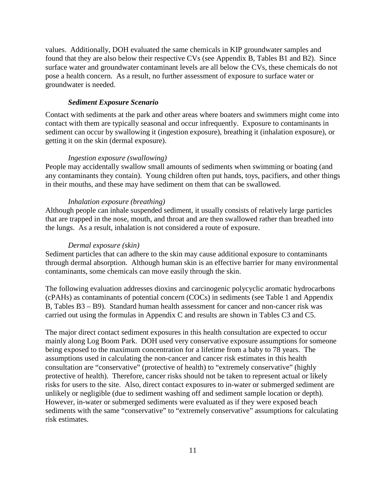values. Additionally, DOH evaluated the same chemicals in KIP groundwater samples and found that they are also below their respective CVs (see Appendix B, Tables B1 and B2). Since surface water and groundwater contaminant levels are all below the CVs, these chemicals do not pose a health concern. As a result, no further assessment of exposure to surface water or groundwater is needed.

#### *Sediment Exposure Scenario*

<span id="page-11-0"></span>Contact with sediments at the park and other areas where boaters and swimmers might come into contact with them are typically seasonal and occur infrequently. Exposure to contaminants in sediment can occur by swallowing it (ingestion exposure), breathing it (inhalation exposure), or getting it on the skin (dermal exposure).

#### *Ingestion exposure (swallowing)*

People may accidentally swallow small amounts of sediments when swimming or boating (and any contaminants they contain). Young children often put hands, toys, pacifiers, and other things in their mouths, and these may have sediment on them that can be swallowed.

#### *Inhalation exposure (breathing)*

Although people can inhale suspended sediment, it usually consists of relatively large particles that are trapped in the nose, mouth, and throat and are then swallowed rather than breathed into the lungs. As a result, inhalation is not considered a route of exposure.

#### *Dermal exposure (skin)*

Sediment particles that can adhere to the skin may cause additional exposure to contaminants through dermal absorption. Although human skin is an effective barrier for many environmental contaminants, some chemicals can move easily through the skin.

The following evaluation addresses dioxins and carcinogenic polycyclic aromatic hydrocarbons (cPAHs) as contaminants of potential concern (COCs) in sediments (see Table 1 and Appendix B, Tables B3 – B9). Standard human health assessment for cancer and non-cancer risk was carried out using the formulas in Appendix C and results are shown in Tables C3 and C5.

The major direct contact sediment exposures in this health consultation are expected to occur mainly along Log Boom Park. DOH used very conservative exposure assumptions for someone being exposed to the maximum concentration for a lifetime from a baby to 78 years. The assumptions used in calculating the non-cancer and cancer risk estimates in this health consultation are "conservative" (protective of health) to "extremely conservative" (highly protective of health). Therefore, cancer risks should not be taken to represent actual or likely risks for users to the site. Also, direct contact exposures to in-water or submerged sediment are unlikely or negligible (due to sediment washing off and sediment sample location or depth). However, in-water or submerged sediments were evaluated as if they were exposed beach sediments with the same "conservative" to "extremely conservative" assumptions for calculating risk estimates.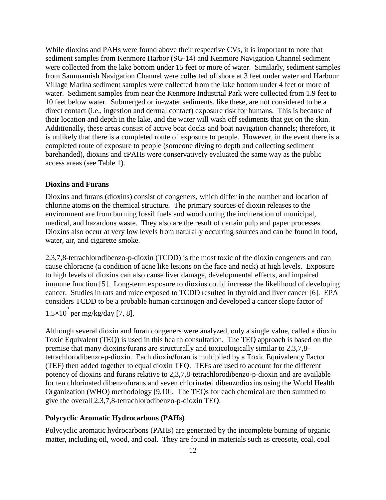While dioxins and PAHs were found above their respective CVs, it is important to note that sediment samples from Kenmore Harbor (SG-14) and Kenmore Navigation Channel sediment were collected from the lake bottom under 15 feet or more of water. Similarly, sediment samples from Sammamish Navigation Channel were collected offshore at 3 feet under water and Harbour Village Marina sediment samples were collected from the lake bottom under 4 feet or more of water. Sediment samples from near the Kenmore Industrial Park were collected from 1.9 feet to 10 feet below water. Submerged or in-water sediments, like these, are not considered to be a direct contact (i.e., ingestion and dermal contact) exposure risk for humans. This is because of their location and depth in the lake, and the water will wash off sediments that get on the skin. Additionally, these areas consist of active boat docks and boat navigation channels; therefore, it is unlikely that there is a completed route of exposure to people. However, in the event there is a completed route of exposure to people (someone diving to depth and collecting sediment barehanded), dioxins and cPAHs were conservatively evaluated the same way as the public access areas (see Table 1).

#### <span id="page-12-0"></span>**Dioxins and Furans**

Dioxins and furans (dioxins) consist of congeners, which differ in the number and location of chlorine atoms on the chemical structure. The primary sources of dioxin releases to the environment are from burning fossil fuels and wood during the incineration of municipal, medical, and hazardous waste. They also are the result of certain pulp and paper processes. Dioxins also occur at very low levels from naturally occurring sources and can be found in food, water, air, and cigarette smoke.

2,3,7,8-tetrachlorodibenzo-p-dioxin (TCDD) is the most toxic of the dioxin congeners and can cause chloracne (a condition of acne like lesions on the face and neck) at high levels. Exposure to high levels of dioxins can also cause liver damage, developmental effects, and impaired immune function [5]. Long-term exposure to dioxins could increase the likelihood of developing cancer. Studies in rats and mice exposed to TCDD resulted in thyroid and liver cancer [6]. EPA considers TCDD to be a probable human carcinogen and developed a cancer slope factor of 1.5×10 5 per mg/kg/day [7, 8].

Although several dioxin and furan congeners were analyzed, only a single value, called a dioxin Toxic Equivalent (TEQ) is used in this health consultation. The TEQ approach is based on the premise that many dioxins/furans are structurally and toxicologically similar to 2,3,7,8 tetrachlorodibenzo-p-dioxin. Each dioxin/furan is multiplied by a Toxic Equivalency Factor (TEF) then added together to equal dioxin TEQ. TEFs are used to account for the different potency of dioxins and furans relative to 2,3,7,8-tetrachlorodibenzo-p-dioxin and are available for ten chlorinated dibenzofurans and seven chlorinated dibenzodioxins using the World Health Organization (WHO) methodology [9,10]. The TEQs for each chemical are then summed to give the overall 2,3,7,8-tetrachlorodibenzo-p-dioxin TEQ.

#### <span id="page-12-1"></span>**Polycyclic Aromatic Hydrocarbons (PAHs)**

Polycyclic aromatic hydrocarbons (PAHs) are generated by the incomplete burning of organic matter, including oil, wood, and coal. They are found in materials such as creosote, coal, coal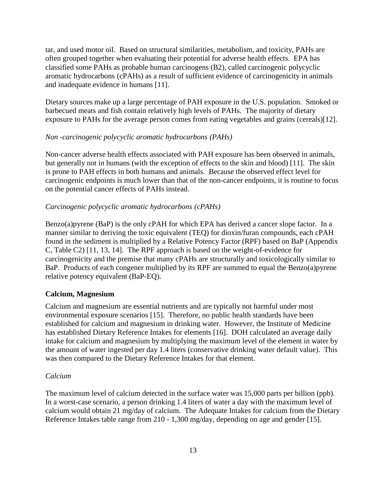tar, and used motor oil. Based on structural similarities, metabolism, and toxicity, PAHs are often grouped together when evaluating their potential for adverse health effects. EPA has classified some PAHs as probable human carcinogens (B2), called carcinogenic polycyclic aromatic hydrocarbons (cPAHs) as a result of sufficient evidence of carcinogenicity in animals and inadequate evidence in humans [11].

Dietary sources make up a large percentage of PAH exposure in the U.S. population. Smoked or barbecued meats and fish contain relatively high levels of PAHs. The majority of dietary exposure to PAHs for the average person comes from eating vegetables and grains (cereals)[12].

#### *Non -carcinogenic polycyclic aromatic hydrocarbons (PAHs)*

Non-cancer adverse health effects associated with PAH exposure has been observed in animals, but generally not in humans (with the exception of effects to the skin and blood) [11]. The skin is prone to PAH effects in both humans and animals. Because the observed effect level for carcinogenic endpoints is much lower than that of the non-cancer endpoints, it is routine to focus on the potential cancer effects of PAHs instead.

#### *Carcinogenic polycyclic aromatic hydrocarbons (cPAHs)*

Benzo(a)pyrene (BaP) is the only cPAH for which EPA has derived a cancer slope factor. In a manner similar to deriving the toxic equivalent (TEQ) for dioxin/furan compounds, each cPAH found in the sediment is multiplied by a Relative Potency Factor (RPF) based on BaP (Appendix C, Table C2) [11, 13, 14]. The RPF approach is based on the weight-of-evidence for carcinogenicity and the premise that many cPAHs are structurally and toxicologically similar to BaP. Products of each congener multiplied by its RPF are summed to equal the Benzo(a)pyrene relative potency equivalent (BaP-EQ).

#### <span id="page-13-0"></span>**Calcium, Magnesium**

Calcium and magnesium are essential nutrients and are typically not harmful under most environmental exposure scenarios [15]. Therefore, no public health standards have been established for calcium and magnesium in drinking water. However, the Institute of Medicine has established Dietary Reference Intakes for elements [16]. DOH calculated an average daily intake for calcium and magnesium by multiplying the maximum level of the element in water by the amount of water ingested per day 1.4 liters (conservative drinking water default value). This was then compared to the Dietary Reference Intakes for that element.

#### *Calcium*

The maximum level of calcium detected in the surface water was 15,000 parts per billion (ppb). In a worst-case scenario, a person drinking 1.4 liters of water a day with the maximum level of calcium would obtain 21 mg/day of calcium. The Adequate Intakes for calcium from the Dietary Reference Intakes table range from 210 - 1,300 mg/day, depending on age and gender [15].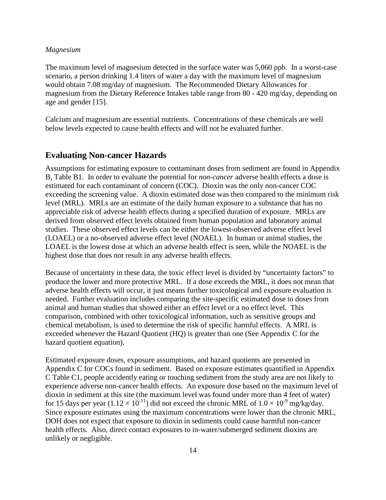#### *Magnesium*

The maximum level of magnesium detected in the surface water was 5,060 ppb. In a worst-case scenario, a person drinking 1.4 liters of water a day with the maximum level of magnesium would obtain 7.08 mg/day of magnesium. The Recommended Dietary Allowances for magnesium from the Dietary Reference Intakes table range from 80 - 420 mg/day, depending on age and gender [15].

Calcium and magnesium are essential nutrients. Concentrations of these chemicals are well below levels expected to cause health effects and will not be evaluated further.

#### <span id="page-14-0"></span>**Evaluating Non-cancer Hazards**

Assumptions for estimating exposure to contaminant doses from sediment are found in Appendix B, Table B1. In order to evaluate the potential for *non-cancer* adverse health effects a dose is estimated for each contaminant of concern (COC). Dioxin was the only non-cancer COC exceeding the screening value. A dioxin estimated dose was then compared to the minimum risk level (MRL). MRLs are an estimate of the daily human exposure to a substance that has no appreciable risk of adverse health effects during a specified duration of exposure. MRLs are derived from observed effect levels obtained from human population and laboratory animal studies. These observed effect levels can be either the lowest-observed adverse effect level (LOAEL) or a no-observed adverse effect level (NOAEL). In human or animal studies, the LOAEL is the lowest dose at which an adverse health effect is seen, while the NOAEL is the highest dose that does not result in any adverse health effects.

Because of uncertainty in these data, the toxic effect level is divided by "uncertainty factors" to produce the lower and more protective MRL. If a dose exceeds the MRL, it does not mean that adverse health effects will occur, it just means further toxicological and exposure evaluation is needed. Further evaluation includes comparing the site-specific estimated dose to doses from animal and human studies that showed either an effect level or a no effect level. This comparison, combined with other toxicological information, such as sensitive groups and chemical metabolism, is used to determine the risk of specific harmful effects. A MRL is exceeded whenever the Hazard Quotient (HQ) is greater than one (See Appendix C for the hazard quotient equation).

Estimated exposure doses, exposure assumptions, and hazard quotients are presented in Appendix C for COCs found in sediment. Based on exposure estimates quantified in Appendix C Table C1, people accidently eating or touching sediment from the study area are not likely to experience adverse non-cancer health effects. An exposure dose based on the maximum level of dioxin in sediment at this site (the maximum level was found under more than 4 feet of water) for 15 days per year  $(1.12 \times 10^{-11})$  did not exceed the chronic MRL of  $1.0 \times 10^{-9}$  mg/kg/day. Since exposure estimates using the maximum concentrations were lower than the chronic MRL, DOH does not expect that exposure to dioxin in sediments could cause harmful non-cancer health effects. Also, direct contact exposures to in-water/submerged sediment dioxins are unlikely or negligible.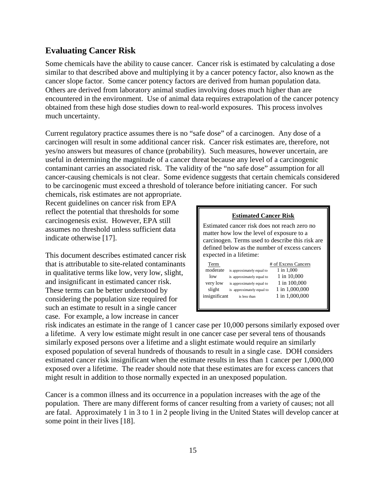#### <span id="page-15-0"></span>**Evaluating Cancer Risk**

Some chemicals have the ability to cause cancer. Cancer risk is estimated by calculating a dose similar to that described above and multiplying it by a cancer potency factor, also known as the cancer slope factor. Some cancer potency factors are derived from human population data. Others are derived from laboratory animal studies involving doses much higher than are encountered in the environment. Use of animal data requires extrapolation of the cancer potency obtained from these high dose studies down to real-world exposures. This process involves much uncertainty.

Current regulatory practice assumes there is no "safe dose" of a carcinogen. Any dose of a carcinogen will result in some additional cancer risk. Cancer risk estimates are, therefore, not yes/no answers but measures of chance (probability). Such measures, however uncertain, are useful in determining the magnitude of a cancer threat because any level of a carcinogenic contaminant carries an associated risk. The validity of the "no safe dose" assumption for all cancer-causing chemicals is not clear. Some evidence suggests that certain chemicals considered to be carcinogenic must exceed a threshold of tolerance before initiating cancer. For such

chemicals, risk estimates are not appropriate. Recent guidelines on cancer risk from EPA reflect the potential that thresholds for some carcinogenesis exist. However, EPA still assumes no threshold unless sufficient data indicate otherwise [17].

This document describes estimated cancer risk that is attributable to site-related contaminants in qualitative terms like low, very low, slight, and insignificant in estimated cancer risk. These terms can be better understood by considering the population size required for such an estimate to result in a single cancer case. For example, a low increase in cancer

| <b>Estimated Cancer Risk</b>                                                                                                                                                                                              |                                                                                                                                  |                                                                                                      |  |  |  |  |
|---------------------------------------------------------------------------------------------------------------------------------------------------------------------------------------------------------------------------|----------------------------------------------------------------------------------------------------------------------------------|------------------------------------------------------------------------------------------------------|--|--|--|--|
| Estimated cancer risk does not reach zero no<br>matter how low the level of exposure to a<br>carcinogen. Terms used to describe this risk are<br>defined below as the number of excess cancers<br>expected in a lifetime: |                                                                                                                                  |                                                                                                      |  |  |  |  |
| Term<br>moderate<br>low<br>very low<br>slight<br>insignificant                                                                                                                                                            | is approximately equal to<br>is approximately equal to<br>is approximately equal to<br>is approximately equal to<br>is less than | # of Excess Cancers<br>1 in 1,000<br>1 in 10,000<br>1 in 100,000<br>1 in 1,000,000<br>1 in 1,000,000 |  |  |  |  |

risk indicates an estimate in the range of 1 cancer case per 10,000 persons similarly exposed over a lifetime. A very low estimate might result in one cancer case per several tens of thousands similarly exposed persons over a lifetime and a slight estimate would require an similarly exposed population of several hundreds of thousands to result in a single case. DOH considers estimated cancer risk insignificant when the estimate results in less than 1 cancer per 1,000,000 exposed over a lifetime. The reader should note that these estimates are for excess cancers that might result in addition to those normally expected in an unexposed population.

Cancer is a common illness and its occurrence in a population increases with the age of the population. There are many different forms of cancer resulting from a variety of causes; not all are fatal. Approximately 1 in 3 to 1 in 2 people living in the United States will develop cancer at some point in their lives [18].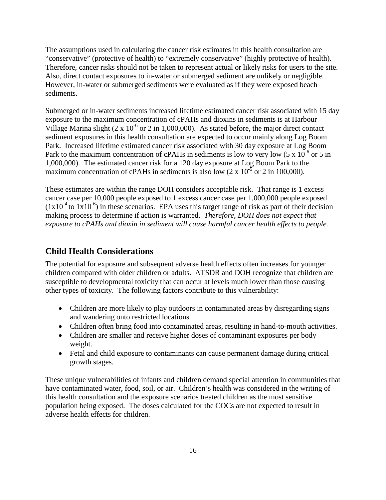The assumptions used in calculating the cancer risk estimates in this health consultation are "conservative" (protective of health) to "extremely conservative" (highly protective of health). Therefore, cancer risks should not be taken to represent actual or likely risks for users to the site. Also, direct contact exposures to in-water or submerged sediment are unlikely or negligible. However, in-water or submerged sediments were evaluated as if they were exposed beach sediments.

Submerged or in-water sediments increased lifetime estimated cancer risk associated with 15 day exposure to the maximum concentration of cPAHs and dioxins in sediments is at Harbour Village Marina slight  $(2 \times 10^{-6} \text{ or } 2 \text{ in } 1,000,000)$ . As stated before, the major direct contact sediment exposures in this health consultation are expected to occur mainly along Log Boom Park. Increased lifetime estimated cancer risk associated with 30 day exposure at Log Boom Park to the maximum concentration of cPAHs in sediments is low to very low  $(5 \times 10^{-6} \text{ or } 5 \text{ in } 10^{-6} \text{ or } 5 \text{ in } 10^{-6} \text{ or } 5 \text{ in } 10^{-6} \text{ or } 5 \text{ in } 10^{-6} \text{ or } 5 \text{ in } 10^{-6} \text{ or } 5 \text{ in } 10^{-6} \text{ or } 5 \text{ in } 10^{-6} \text{ or } 5 \text$ 1,000,000). The estimated cancer risk for a 120 day exposure at Log Boom Park to the maximum concentration of cPAHs in sediments is also low  $(2 \times 10^{-5} \text{ or } 2 \text{ in } 100,000)$ .

These estimates are within the range DOH considers acceptable risk. That range is 1 excess cancer case per 10,000 people exposed to 1 excess cancer case per 1,000,000 people exposed  $(1x10<sup>-4</sup>$  to  $1x10<sup>-6</sup>)$  in these scenarios. EPA uses this target range of risk as part of their decision making process to determine if action is warranted. *Therefore, DOH does not expect that exposure to cPAHs and dioxin in sediment will cause harmful cancer health effects to people.*

### <span id="page-16-0"></span>**Child Health Considerations**

The potential for exposure and subsequent adverse health effects often increases for younger children compared with older children or adults. ATSDR and DOH recognize that children are susceptible to developmental toxicity that can occur at levels much lower than those causing other types of toxicity. The following factors contribute to this vulnerability:

- Children are more likely to play outdoors in contaminated areas by disregarding signs and wandering onto restricted locations.
- Children often bring food into contaminated areas, resulting in hand-to-mouth activities.
- Children are smaller and receive higher doses of contaminant exposures per body weight.
- Fetal and child exposure to contaminants can cause permanent damage during critical growth stages.

These unique vulnerabilities of infants and children demand special attention in communities that have contaminated water, food, soil, or air. Children's health was considered in the writing of this health consultation and the exposure scenarios treated children as the most sensitive population being exposed. The doses calculated for the COCs are not expected to result in adverse health effects for children.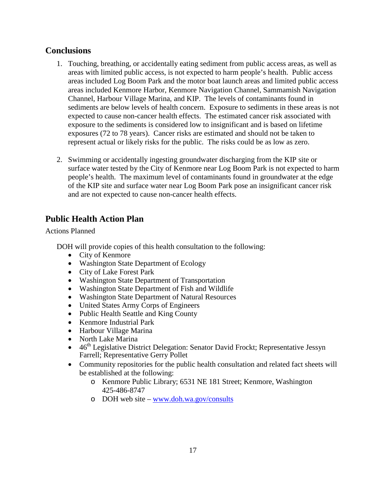### <span id="page-17-0"></span>**Conclusions**

- 1. Touching, breathing, or accidentally eating sediment from public access areas, as well as areas with limited public access, is not expected to harm people's health. Public access areas included Log Boom Park and the motor boat launch areas and limited public access areas included Kenmore Harbor, Kenmore Navigation Channel, Sammamish Navigation Channel, Harbour Village Marina, and KIP. The levels of contaminants found in sediments are below levels of health concern. Exposure to sediments in these areas is not expected to cause non-cancer health effects. The estimated cancer risk associated with exposure to the sediments is considered low to insignificant and is based on lifetime exposures (72 to 78 years). Cancer risks are estimated and should not be taken to represent actual or likely risks for the public. The risks could be as low as zero.
- 2. Swimming or accidentally ingesting groundwater discharging from the KIP site or surface water tested by the City of Kenmore near Log Boom Park is not expected to harm people's health. The maximum level of contaminants found in groundwater at the edge of the KIP site and surface water near Log Boom Park pose an insignificant cancer risk and are not expected to cause non-cancer health effects.

### <span id="page-17-1"></span>**Public Health Action Plan**

#### Actions Planned

DOH will provide copies of this health consultation to the following:

- City of Kenmore
- Washington State Department of Ecology
- City of Lake Forest Park
- Washington State Department of Transportation
- Washington State Department of Fish and Wildlife
- Washington State Department of Natural Resources
- United States Army Corps of Engineers
- Public Health Seattle and King County
- Kenmore Industrial Park
- Harbour Village Marina
- North Lake Marina
- 46<sup>th</sup> Legislative District Delegation: Senator David Frockt; Representative Jessyn Farrell; Representative Gerry Pollet
- Community repositories for the public health consultation and related fact sheets will be established at the following:
	- o Kenmore Public Library; 6531 NE 181 Street; Kenmore, Washington 425-486-8747
	- o DOH web site – [www.doh.wa.gov/consults](http://www.doh.wa.gov/consults)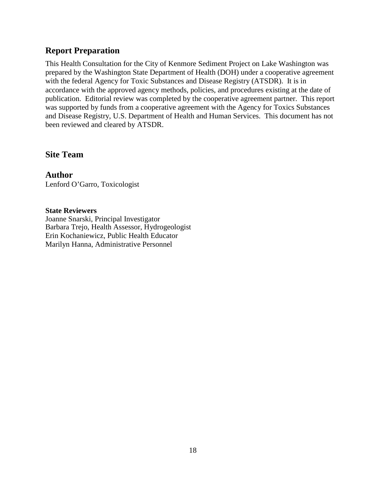### <span id="page-18-0"></span>**Report Preparation**

This Health Consultation for the City of Kenmore Sediment Project on Lake Washington was prepared by the Washington State Department of Health (DOH) under a cooperative agreement with the federal Agency for Toxic Substances and Disease Registry (ATSDR). It is in accordance with the approved agency methods, policies, and procedures existing at the date of publication. Editorial review was completed by the cooperative agreement partner. This report was supported by funds from a cooperative agreement with the Agency for Toxics Substances and Disease Registry, U.S. Department of Health and Human Services. This document has not been reviewed and cleared by ATSDR.

### **Site Team**

**Author** Lenford O'Garro, Toxicologist

#### **State Reviewers**

Joanne Snarski, Principal Investigator Barbara Trejo, Health Assessor, Hydrogeologist Erin Kochaniewicz, Public Health Educator Marilyn Hanna, Administrative Personnel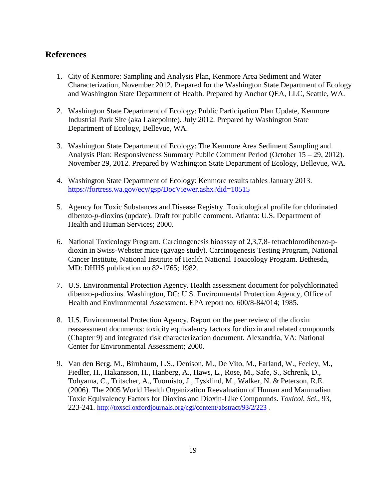### <span id="page-19-0"></span>**References**

- 1. City of Kenmore: Sampling and Analysis Plan, Kenmore Area Sediment and Water Characterization, November 2012. Prepared for the Washington State Department of Ecology and Washington State Department of Health. Prepared by Anchor QEA, LLC, Seattle, WA.
- 2. Washington State Department of Ecology: Public Participation Plan Update, Kenmore Industrial Park Site (aka Lakepointe). July 2012. Prepared by Washington State Department of Ecology, Bellevue, WA.
- 3. Washington State Department of Ecology: The Kenmore Area Sediment Sampling and Analysis Plan: Responsiveness Summary Public Comment Period (October 15 – 29, 2012). November 29, 2012. Prepared by Washington State Department of Ecology, Bellevue, WA.
- 4. Washington State Department of Ecology: Kenmore results tables January 2013. <https://fortress.wa.gov/ecy/gsp/DocViewer.ashx?did=10515>
- 5. Agency for Toxic Substances and Disease Registry. Toxicological profile for chlorinated dibenzo-*p*-dioxins (update). Draft for public comment. Atlanta: U.S. Department of Health and Human Services; 2000.
- 6. National Toxicology Program. Carcinogenesis bioassay of 2,3,7,8- tetrachlorodibenzo-pdioxin in Swiss-Webster mice (gavage study). Carcinogenesis Testing Program, National Cancer Institute, National Institute of Health National Toxicology Program. Bethesda, MD: DHHS publication no 82-1765; 1982.
- 7. U.S. Environmental Protection Agency. Health assessment document for polychlorinated dibenzo-p-dioxins. Washington, DC: U.S. Environmental Protection Agency, Office of Health and Environmental Assessment. EPA report no. 600/8-84/014; 1985.
- 8. U.S. Environmental Protection Agency. Report on the peer review of the dioxin reassessment documents: toxicity equivalency factors for dioxin and related compounds (Chapter 9) and integrated risk characterization document. Alexandria, VA: National Center for Environmental Assessment; 2000.
- 9. Van den Berg, M., Birnbaum, L.S., Denison, M., De Vito, M., Farland, W., Feeley, M., Fiedler, H., Hakansson, H., Hanberg, A., Haws, L., Rose, M., Safe, S., Schrenk, D., Tohyama, C., Tritscher, A., Tuomisto, J., Tysklind, M., Walker, N. & Peterson, R.E. (2006). The 2005 World Health Organization Reevaluation of Human and Mammalian Toxic Equivalency Factors for Dioxins and Dioxin-Like Compounds. *Toxicol. Sci.*, 93, 223-241.<http://toxsci.oxfordjournals.org/cgi/content/abstract/93/2/223> .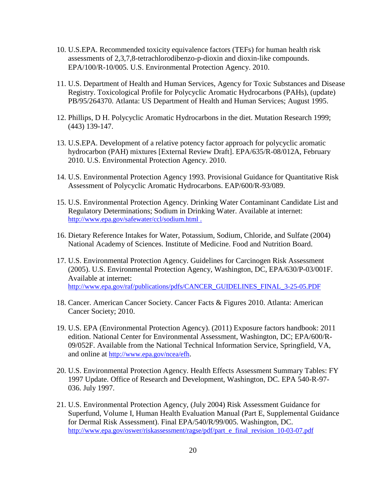- 10. U.S.EPA. Recommended toxicity equivalence factors (TEFs) for human health risk assessments of 2,3,7,8-tetrachlorodibenzo-p-dioxin and dioxin-like compounds. EPA/100/R-10/005. U.S. Environmental Protection Agency. 2010.
- 11. U.S. Department of Health and Human Services, Agency for Toxic Substances and Disease Registry. Toxicological Profile for Polycyclic Aromatic Hydrocarbons (PAHs), (update) PB/95/264370. Atlanta: US Department of Health and Human Services; August 1995.
- 12. Phillips, D H. Polycyclic Aromatic Hydrocarbons in the diet. Mutation Research 1999; (443) 139-147.
- 13. U.S.EPA. Development of a relative potency factor approach for polycyclic aromatic hydrocarbon (PAH) mixtures [External Review Draft]. EPA/635/R-08/012A, February 2010. U.S. Environmental Protection Agency. 2010.
- 14. U.S. Environmental Protection Agency 1993. Provisional Guidance for Quantitative Risk Assessment of Polycyclic Aromatic Hydrocarbons. EAP/600/R-93/089.
- 15. U.S. Environmental Protection Agency. Drinking Water Contaminant Candidate List and Regulatory Determinations; Sodium in Drinking Water. Available at internet: <http://www.epa.gov/safewater/ccl/sodium.html>.
- 16. Dietary Reference Intakes for Water, Potassium, Sodium, Chloride, and Sulfate (2004) National Academy of Sciences. Institute of Medicine. Food and Nutrition Board.
- 17. U.S. Environmental Protection Agency. Guidelines for Carcinogen Risk Assessment (2005). U.S. Environmental Protection Agency, Washington, DC, EPA/630/P-03/001F. Available at internet: [http://www.epa.gov/raf/publications/pdfs/CANCER\\_GUIDELINES\\_FINAL\\_3-25-05.PDF](http://www.epa.gov/raf/publications/pdfs/CANCER_GUIDELINES_FINAL_3-25-05.PDF)
- 18. Cancer. American Cancer Society. Cancer Facts & Figures 2010. Atlanta: American Cancer Society; 2010.
- 19. U.S. EPA (Environmental Protection Agency). (2011) Exposure factors handbook: 2011 edition. National Center for Environmental Assessment, Washington, DC; EPA/600/R-09/052F. Available from the National Technical Information Service, Springfield, VA, and online at [http://www.epa.gov/ncea/efh.](http://www.epa.gov/ncea/efh)
- 20. U.S. Environmental Protection Agency. Health Effects Assessment Summary Tables: FY 1997 Update. Office of Research and Development, Washington, DC. EPA 540-R-97- 036. July 1997.
- 21. U.S. Environmental Protection Agency, (July 2004) Risk Assessment Guidance for Superfund, Volume I, Human Health Evaluation Manual (Part E, Supplemental Guidance for Dermal Risk Assessment). Final EPA/540/R/99/005. Washington, DC. [http://www.epa.gov/oswer/riskassessment/ragse/pdf/part\\_e\\_final\\_revision\\_10-03-07.pdf](http://www.epa.gov/oswer/riskassessment/ragse/pdf/part_e_final_revision_10-03-07.pdf)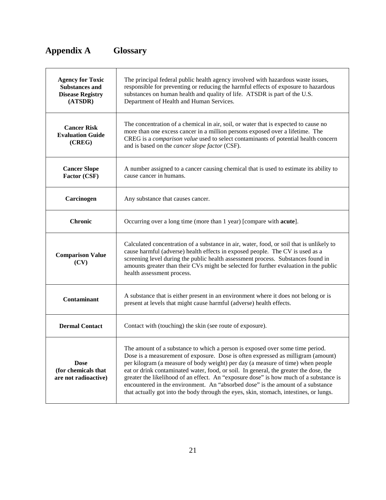# <span id="page-21-0"></span>**Appendix A Glossary**

| <b>Agency for Toxic</b><br><b>Substances and</b><br><b>Disease Registry</b><br>(ATSDR) | The principal federal public health agency involved with hazardous waste issues,<br>responsible for preventing or reducing the harmful effects of exposure to hazardous<br>substances on human health and quality of life. ATSDR is part of the U.S.<br>Department of Health and Human Services.                                                                                                                                                                                                                                                                                                                    |
|----------------------------------------------------------------------------------------|---------------------------------------------------------------------------------------------------------------------------------------------------------------------------------------------------------------------------------------------------------------------------------------------------------------------------------------------------------------------------------------------------------------------------------------------------------------------------------------------------------------------------------------------------------------------------------------------------------------------|
| <b>Cancer Risk</b><br><b>Evaluation Guide</b><br>(CREG)                                | The concentration of a chemical in air, soil, or water that is expected to cause no<br>more than one excess cancer in a million persons exposed over a lifetime. The<br>CREG is a comparison value used to select contaminants of potential health concern<br>and is based on the <i>cancer slope factor</i> (CSF).                                                                                                                                                                                                                                                                                                 |
| <b>Cancer Slope</b><br>Factor (CSF)                                                    | A number assigned to a cancer causing chemical that is used to estimate its ability to<br>cause cancer in humans.                                                                                                                                                                                                                                                                                                                                                                                                                                                                                                   |
| Carcinogen                                                                             | Any substance that causes cancer.                                                                                                                                                                                                                                                                                                                                                                                                                                                                                                                                                                                   |
| <b>Chronic</b>                                                                         | Occurring over a long time (more than 1 year) [compare with <b>acute</b> ].                                                                                                                                                                                                                                                                                                                                                                                                                                                                                                                                         |
| <b>Comparison Value</b><br>(CV)                                                        | Calculated concentration of a substance in air, water, food, or soil that is unlikely to<br>cause harmful (adverse) health effects in exposed people. The CV is used as a<br>screening level during the public health assessment process. Substances found in<br>amounts greater than their CVs might be selected for further evaluation in the public<br>health assessment process.                                                                                                                                                                                                                                |
| <b>Contaminant</b>                                                                     | A substance that is either present in an environment where it does not belong or is<br>present at levels that might cause harmful (adverse) health effects.                                                                                                                                                                                                                                                                                                                                                                                                                                                         |
| <b>Dermal Contact</b>                                                                  | Contact with (touching) the skin (see route of exposure).                                                                                                                                                                                                                                                                                                                                                                                                                                                                                                                                                           |
| <b>Dose</b><br>(for chemicals that<br>are not radioactive)                             | The amount of a substance to which a person is exposed over some time period.<br>Dose is a measurement of exposure. Dose is often expressed as milligram (amount)<br>per kilogram (a measure of body weight) per day (a measure of time) when people<br>eat or drink contaminated water, food, or soil. In general, the greater the dose, the<br>greater the likelihood of an effect. An "exposure dose" is how much of a substance is<br>encountered in the environment. An "absorbed dose" is the amount of a substance<br>that actually got into the body through the eyes, skin, stomach, intestines, or lungs. |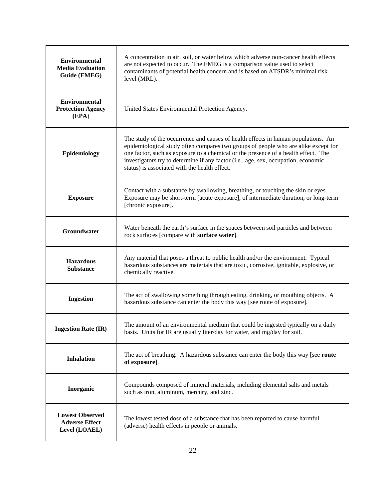| A concentration in air, soil, or water below which adverse non-cancer health effects<br><b>Environmental</b><br>are not expected to occur. The EMEG is a comparison value used to select<br><b>Media Evaluation</b><br>contaminants of potential health concern and is based on ATSDR's minimal risk<br>Guide (EMEG)<br>level (MRL). |                                                                                                                                                                                                                                                                                                                                                                                                      |  |  |  |
|--------------------------------------------------------------------------------------------------------------------------------------------------------------------------------------------------------------------------------------------------------------------------------------------------------------------------------------|------------------------------------------------------------------------------------------------------------------------------------------------------------------------------------------------------------------------------------------------------------------------------------------------------------------------------------------------------------------------------------------------------|--|--|--|
| <b>Environmental</b><br><b>Protection Agency</b><br>(EPA)                                                                                                                                                                                                                                                                            | United States Environmental Protection Agency.                                                                                                                                                                                                                                                                                                                                                       |  |  |  |
| Epidemiology                                                                                                                                                                                                                                                                                                                         | The study of the occurrence and causes of health effects in human populations. An<br>epidemiological study often compares two groups of people who are alike except for<br>one factor, such as exposure to a chemical or the presence of a health effect. The<br>investigators try to determine if any factor (i.e., age, sex, occupation, economic<br>status) is associated with the health effect. |  |  |  |
| <b>Exposure</b>                                                                                                                                                                                                                                                                                                                      | Contact with a substance by swallowing, breathing, or touching the skin or eyes.<br>Exposure may be short-term [acute exposure], of intermediate duration, or long-term<br>[chronic exposure].                                                                                                                                                                                                       |  |  |  |
| Groundwater                                                                                                                                                                                                                                                                                                                          | Water beneath the earth's surface in the spaces between soil particles and between<br>rock surfaces [compare with surface water].                                                                                                                                                                                                                                                                    |  |  |  |
| <b>Hazardous</b><br><b>Substance</b>                                                                                                                                                                                                                                                                                                 | Any material that poses a threat to public health and/or the environment. Typical<br>hazardous substances are materials that are toxic, corrosive, ignitable, explosive, or<br>chemically reactive.                                                                                                                                                                                                  |  |  |  |
| <b>Ingestion</b>                                                                                                                                                                                                                                                                                                                     | The act of swallowing something through eating, drinking, or mouthing objects. A<br>hazardous substance can enter the body this way [see route of exposure].                                                                                                                                                                                                                                         |  |  |  |
| <b>Ingestion Rate (IR)</b>                                                                                                                                                                                                                                                                                                           | The amount of an environmental medium that could be ingested typically on a daily<br>basis. Units for IR are usually liter/day for water, and mg/day for soil.                                                                                                                                                                                                                                       |  |  |  |
| <b>Inhalation</b>                                                                                                                                                                                                                                                                                                                    | The act of breathing. A hazardous substance can enter the body this way [see route]<br>of exposure].                                                                                                                                                                                                                                                                                                 |  |  |  |
| Inorganic                                                                                                                                                                                                                                                                                                                            | Compounds composed of mineral materials, including elemental salts and metals<br>such as iron, aluminum, mercury, and zinc.                                                                                                                                                                                                                                                                          |  |  |  |
| <b>Lowest Observed</b><br><b>Adverse Effect</b><br>Level (LOAEL)                                                                                                                                                                                                                                                                     | The lowest tested dose of a substance that has been reported to cause harmful<br>(adverse) health effects in people or animals.                                                                                                                                                                                                                                                                      |  |  |  |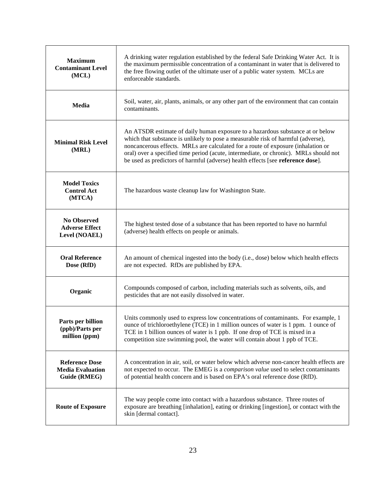| A drinking water regulation established by the federal Safe Drinking Water Act. It is<br><b>Maximum</b><br>the maximum permissible concentration of a contaminant in water that is delivered to<br><b>Contaminant Level</b><br>the free flowing outlet of the ultimate user of a public water system. MCLs are<br>(MCL)<br>enforceable standards. |                                                                                                                                                                                                                                                                                                                                                                                                                                    |  |  |  |  |
|---------------------------------------------------------------------------------------------------------------------------------------------------------------------------------------------------------------------------------------------------------------------------------------------------------------------------------------------------|------------------------------------------------------------------------------------------------------------------------------------------------------------------------------------------------------------------------------------------------------------------------------------------------------------------------------------------------------------------------------------------------------------------------------------|--|--|--|--|
| Media                                                                                                                                                                                                                                                                                                                                             | Soil, water, air, plants, animals, or any other part of the environment that can contain<br>contaminants.                                                                                                                                                                                                                                                                                                                          |  |  |  |  |
| <b>Minimal Risk Level</b><br>(MRL)                                                                                                                                                                                                                                                                                                                | An ATSDR estimate of daily human exposure to a hazardous substance at or below<br>which that substance is unlikely to pose a measurable risk of harmful (adverse),<br>noncancerous effects. MRLs are calculated for a route of exposure (inhalation or<br>oral) over a specified time period (acute, intermediate, or chronic). MRLs should not<br>be used as predictors of harmful (adverse) health effects [see reference dose]. |  |  |  |  |
| <b>Model Toxics</b><br><b>Control Act</b><br>(MTCA)                                                                                                                                                                                                                                                                                               | The hazardous waste cleanup law for Washington State.                                                                                                                                                                                                                                                                                                                                                                              |  |  |  |  |
| <b>No Observed</b><br><b>Adverse Effect</b><br>Level (NOAEL)                                                                                                                                                                                                                                                                                      | The highest tested dose of a substance that has been reported to have no harmful<br>(adverse) health effects on people or animals.                                                                                                                                                                                                                                                                                                 |  |  |  |  |
| <b>Oral Reference</b><br>Dose (RfD)                                                                                                                                                                                                                                                                                                               | An amount of chemical ingested into the body (i.e., dose) below which health effects<br>are not expected. RfDs are published by EPA.                                                                                                                                                                                                                                                                                               |  |  |  |  |
| Organic                                                                                                                                                                                                                                                                                                                                           | Compounds composed of carbon, including materials such as solvents, oils, and<br>pesticides that are not easily dissolved in water.                                                                                                                                                                                                                                                                                                |  |  |  |  |
| Parts per billion<br>(ppb)/Parts per<br>million (ppm)                                                                                                                                                                                                                                                                                             | Units commonly used to express low concentrations of contaminants. For example, 1<br>ounce of trichloroethylene (TCE) in 1 million ounces of water is 1 ppm. 1 ounce of<br>TCE in 1 billion ounces of water is 1 ppb. If one drop of TCE is mixed in a<br>competition size swimming pool, the water will contain about 1 ppb of TCE.                                                                                               |  |  |  |  |
| <b>Reference Dose</b><br><b>Media Evaluation</b><br>Guide (RMEG)                                                                                                                                                                                                                                                                                  | A concentration in air, soil, or water below which adverse non-cancer health effects are<br>not expected to occur. The EMEG is a <i>comparison value</i> used to select contaminants<br>of potential health concern and is based on EPA's oral reference dose (RfD).                                                                                                                                                               |  |  |  |  |
| <b>Route of Exposure</b>                                                                                                                                                                                                                                                                                                                          | The way people come into contact with a hazardous substance. Three routes of<br>exposure are breathing [inhalation], eating or drinking [ingestion], or contact with the<br>skin [dermal contact].                                                                                                                                                                                                                                 |  |  |  |  |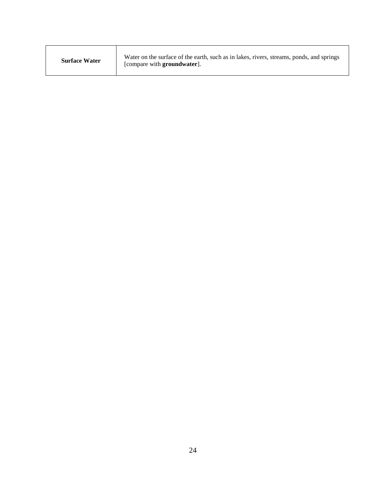| <b>Surface Water</b> | Water on the surface of the earth, such as in lakes, rivers, streams, ponds, and springs<br>[compare with <b>groundwater</b> ]. |
|----------------------|---------------------------------------------------------------------------------------------------------------------------------|
|----------------------|---------------------------------------------------------------------------------------------------------------------------------|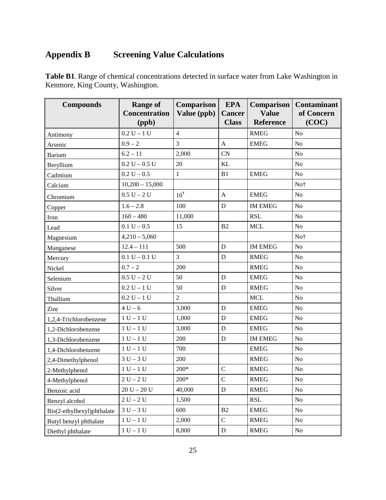## <span id="page-25-0"></span>**Appendix B Screening Value Calculations**

**Table B1**. Range of chemical concentrations detected in surface water from Lake Washington in Kenmore, King County, Washington.

| <b>Compounds</b>           | <b>Range of</b><br><b>Concentration</b><br>(ppb) | Comparison<br>Value (ppb) | <b>EPA</b><br><b>Cancer</b><br><b>Class</b> | Comparison<br><b>Value</b><br>Reference | <b>Contaminant</b><br>of Concern<br>(COC) |
|----------------------------|--------------------------------------------------|---------------------------|---------------------------------------------|-----------------------------------------|-------------------------------------------|
| Antimony                   | $0.2 U - 1 U$                                    | $\overline{4}$            |                                             | <b>RMEG</b>                             | N <sub>o</sub>                            |
| Arsenic                    | $0.9 - 2$                                        | 3                         | $\mathbf{A}$                                | <b>EMEG</b>                             | No                                        |
| <b>Barium</b>              | $6.2 - 11$                                       | 2,000                     | <b>CN</b>                                   |                                         | No                                        |
| Beryllium                  | $0.2 U - 0.5 U$                                  | 20                        | <b>KL</b>                                   |                                         | No                                        |
| Cadmium                    | $0.2 U - 0.5$                                    | $\mathbf{1}$              | B1                                          | <b>EMEG</b>                             | $\rm No$                                  |
| Calcium                    | $10,200 - 15,000$                                |                           |                                             |                                         | No <sup>+</sup>                           |
| Chromium                   | $0.5 U - 2 U$                                    | $10^{\dagger}$            | $\mathbf{A}$                                | <b>EMEG</b>                             | No                                        |
| Copper                     | $1.6 - 2.8$                                      | 100                       | D                                           | <b>IM EMEG</b>                          | No                                        |
| Iron                       | $160 - 480$                                      | 11,000                    |                                             | <b>RSL</b>                              | No                                        |
| Lead                       | $0.1 U - 0.5$                                    | 15                        | B2                                          | <b>MCL</b>                              | No                                        |
| Magnesium                  | $4,210 - 5,060$                                  |                           |                                             |                                         | No <sup>+</sup>                           |
| Manganese                  | $12.4 - 111$                                     | 500                       | ${\bf D}$                                   | <b>IM EMEG</b>                          | No                                        |
| Mercury                    | $0.1 U - 0.1 U$                                  | $\overline{3}$            | $\mathbf D$                                 | <b>RMEG</b>                             | No                                        |
| Nickel                     | $0.7 - 2$                                        | 200                       |                                             | <b>RMEG</b>                             | No                                        |
| Selenium                   | $0.5 U - 2 U$                                    | 50                        | D                                           | <b>EMEG</b>                             | No                                        |
| Silver                     | $0.2 U - 1 U$                                    | 50                        | D                                           | <b>RMEG</b>                             | No                                        |
| Thallium                   | $0.2 U - 1 U$                                    | $\overline{2}$            |                                             | <b>MCL</b>                              | No                                        |
| Zinc                       | $4 U - 6$                                        | 3,000                     | $\mathbf D$                                 | <b>EMEG</b>                             | No                                        |
| 1,2,4-Trichlorobenzene     | $1 U - 1 U$                                      | 1,000                     | D                                           | <b>EMEG</b>                             | No                                        |
| 1,2-Dichlorobenzene        | $1 U - 1 U$                                      | 3,000                     | $\mathbf D$                                 | <b>EMEG</b>                             | N <sub>o</sub>                            |
| 1,3-Dichlorobenzene        | $1 U - 1 U$                                      | 200                       | $\mathbf D$                                 | <b>IM EMEG</b>                          | No                                        |
| 1,4-Dichlorobenzene        | $1 U - 1 U$                                      | 700                       |                                             | <b>EMEG</b>                             | No                                        |
| 2,4-Dimethylphenol         | $3U - 3U$                                        | 200                       |                                             | <b>RMEG</b>                             | No                                        |
| 2-Methylphenol             | $1 U - 1 U$                                      | $200*$                    | $\mathbf C$                                 | <b>RMEG</b>                             | No                                        |
| 4-Methylphenol             | $2\;U-2\;U$                                      | $200*$                    | $\mathbf C$                                 | <b>RMEG</b>                             | No                                        |
| Benzoic acid               | $20 U - 20 U$                                    | 40,000                    | D                                           | <b>RMEG</b>                             | N <sub>0</sub>                            |
| Benzyl alcohol             | $2 U - 2 U$                                      | 1,500                     |                                             | RSL                                     | No                                        |
| Bis(2-ethylhexyl)phthalate | $3 U - 3 U$                                      | 600                       | B2                                          | <b>EMEG</b>                             | No                                        |
| Butyl benzyl phthalate     | $1 U - 1 U$                                      | 2,000                     | $\mathbf C$                                 | <b>RMEG</b>                             | No                                        |
| Diethyl phthalate          | $1 U - 1 U$                                      | 8,000                     | $\mathbf D$                                 | <b>RMEG</b>                             | N <sub>o</sub>                            |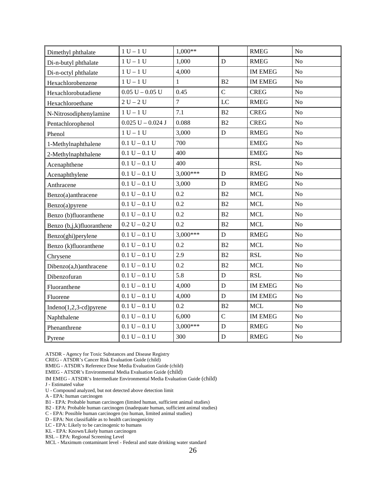| Dimethyl phthalate          | $1 U - 1 U$         | $1,000**$      |                | <b>RMEG</b>    | N <sub>o</sub> |
|-----------------------------|---------------------|----------------|----------------|----------------|----------------|
| Di-n-butyl phthalate        | $1 U - 1 U$         | 1,000          | $\mathbf D$    | <b>RMEG</b>    | N <sub>o</sub> |
| Di-n-octyl phthalate        | $1 U - 1 U$         | 4,000          |                | <b>IM EMEG</b> | N <sub>o</sub> |
| Hexachlorobenzene           | $1 U - 1 U$         | 1              | B2             | <b>IM EMEG</b> | N <sub>o</sub> |
| Hexachlorobutadiene         | $0.05 U - 0.05 U$   | 0.45           | $\mathbf C$    | <b>CREG</b>    | N <sub>o</sub> |
| Hexachloroethane            | $2 U - 2 U$         | $\overline{7}$ | $_{\text{LC}}$ | <b>RMEG</b>    | N <sub>o</sub> |
| N-Nitrosodiphenylamine      | $1 U - 1 U$         | 7.1            | B2             | <b>CREG</b>    | N <sub>o</sub> |
| Pentachlorophenol           | $0.025 U - 0.024 J$ | 0.088          | B2             | <b>CREG</b>    | No             |
| Phenol                      | $1 U - 1 U$         | 3,000          | ${\bf D}$      | <b>RMEG</b>    | ${\rm No}$     |
| 1-Methylnaphthalene         | $0.1 U - 0.1 U$     | 700            |                | <b>EMEG</b>    | N <sub>o</sub> |
| 2-Methylnaphthalene         | $0.1 U - 0.1 U$     | 400            |                | <b>EMEG</b>    | N <sub>o</sub> |
| Acenaphthene                | $0.1 U - 0.1 U$     | 400            |                | <b>RSL</b>     | N <sub>o</sub> |
| Acenaphthylene              | $0.1 U - 0.1 U$     | $3,000***$     | ${\bf D}$      | <b>RMEG</b>    | No             |
| Anthracene                  | $0.1 U - 0.1 U$     | 3,000          | $\mathbf D$    | <b>RMEG</b>    | N <sub>o</sub> |
| Benzo(a)anthracene          | $0.1 U - 0.1 U$     | 0.2            | B2             | <b>MCL</b>     | No             |
| Benzo(a)pyrene              | $0.1 U - 0.1 U$     | 0.2            | B2             | <b>MCL</b>     | N <sub>o</sub> |
| Benzo (b)fluoranthene       | $0.1 U - 0.1 U$     | 0.2            | B2             | <b>MCL</b>     | N <sub>o</sub> |
| Benzo (b,j,k)fluoranthene   | $0.2 U - 0.2 U$     | 0.2            | B2             | <b>MCL</b>     | N <sub>o</sub> |
| Benzo(ghi)perylene          | $0.1 U - 0.1 U$     | $3,000***$     | $\mathbf D$    | <b>RMEG</b>    | N <sub>o</sub> |
| Benzo (k)fluoranthene       | $0.1 U - 0.1 U$     | 0.2            | B2             | <b>MCL</b>     | N <sub>o</sub> |
| Chrysene                    | $0.1 U - 0.1 U$     | 2.9            | B2             | <b>RSL</b>     | N <sub>o</sub> |
| Dibenzo(a,h)anthracene      | $0.1 U - 0.1 U$     | 0.2            | B2             | <b>MCL</b>     | No             |
| Dibenzofuran                | $0.1 U - 0.1 U$     | 5.8            | $\mathbf D$    | <b>RSL</b>     | No             |
| Fluoranthene                | $0.1 U - 0.1 U$     | 4,000          | $\mathbf D$    | <b>IM EMEG</b> | N <sub>o</sub> |
| Fluorene                    | $0.1 U - 0.1 U$     | 4,000          | $\mathbf D$    | <b>IM EMEG</b> | N <sub>o</sub> |
| Indeno $(1,2,3$ -cd) pyrene | $0.1 U - 0.1 U$     | 0.2            | B2             | <b>MCL</b>     | N <sub>o</sub> |
| Naphthalene                 | $0.1 U - 0.1 U$     | 6,000          | $\mathcal{C}$  | <b>IM EMEG</b> | No             |
| Phenanthrene                | $0.1 U - 0.1 U$     | $3,000***$     | $\mathbf D$    | <b>RMEG</b>    | N <sub>o</sub> |
| Pyrene                      | $0.1 U - 0.1 U$     | 300            | $\mathbf D$    | <b>RMEG</b>    | N <sub>o</sub> |

ATSDR - Agency for Toxic Substances and Disease Registry

CREG - ATSDR's Cancer Risk Evaluation Guide (child)

RMEG - ATSDR's Reference Dose Media Evaluation Guide (child)

EMEG - ATSDR's Environmental Media Evaluation Guide (child)

IM EMEG - ATSDR's Intermediate Environmental Media Evaluation Guide (child)

J - Estimated value

U - Compound analyzed, but not detected above detection limit

A - EPA: human carcinogen

B1 - EPA: Probable human carcinogen (limited human, sufficient animal studies)

B2 - EPA: Probable human carcinogen (inadequate human, sufficient animal studies)

C - EPA: Possible human carcinogen (no human, limited animal studies)

D - EPA: Not classifiable as to health carcinogenicity

LC - EPA: Likely to be carcinogenic to humans

KL - EPA: Known/Likely human carcinogen

RSL – EPA: Regional Screening Level

MCL - Maximum contaminant level - Federal and state drinking water standard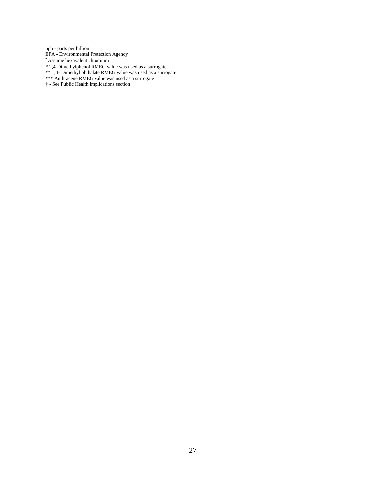ppb - parts per billion EPA - Environmental Protection Agency † Assume hexavalent chromium \* 2,4-Dimethylphenol RMEG value was used as a surrogate \*\* 1,4- Dimethyl phthalate RMEG value was used as a surrogate \*\*\* Anthracene RMEG value was used as a surrogate † - See Public Health Implications section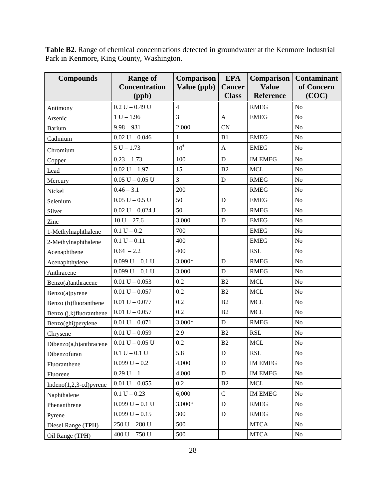**Table B2**. Range of chemical concentrations detected in groundwater at the Kenmore Industrial Park in Kenmore, King County, Washington.

| <b>Compounds</b>           | <b>Range of</b><br><b>Concentration</b><br>(ppb) | Comparison<br>Value (ppb) | <b>EPA</b><br><b>Cancer</b><br><b>Class</b> | Comparison<br><b>Value</b><br>Reference | <b>Contaminant</b><br>of Concern<br>(COC) |
|----------------------------|--------------------------------------------------|---------------------------|---------------------------------------------|-----------------------------------------|-------------------------------------------|
| Antimony                   | $0.2 U - 0.49 U$                                 | $\overline{4}$            |                                             | <b>RMEG</b>                             | N <sub>o</sub>                            |
| Arsenic                    | $1 U - 1.96$                                     | 3                         | $\mathbf{A}$                                | <b>EMEG</b>                             | N <sub>o</sub>                            |
| <b>Barium</b>              | $9.98 - 931$                                     | 2,000                     | <b>CN</b>                                   |                                         | N <sub>o</sub>                            |
| Cadmium                    | $0.02 U - 0.046$                                 | 1                         | B1                                          | <b>EMEG</b>                             | No                                        |
| Chromium                   | $5 U - 1.73$                                     | $10^{\dagger}$            | $\mathbf{A}$                                | <b>EMEG</b>                             | No                                        |
| Copper                     | $0.23 - 1.73$                                    | 100                       | $\mathbf D$                                 | <b>IM EMEG</b>                          | No                                        |
| Lead                       | $0.02 U - 1.97$                                  | 15                        | B2                                          | <b>MCL</b>                              | No                                        |
| Mercury                    | $0.05 U - 0.05 U$                                | $\overline{3}$            | $\mathbf D$                                 | <b>RMEG</b>                             | N <sub>o</sub>                            |
| Nickel                     | $0.46 - 3.1$                                     | 200                       |                                             | <b>RMEG</b>                             | No                                        |
| Selenium                   | $0.05 U - 0.5 U$                                 | 50                        | D                                           | <b>EMEG</b>                             | No                                        |
| Silver                     | $0.02 U - 0.024 J$                               | 50                        | $\mathbf D$                                 | <b>RMEG</b>                             | N <sub>o</sub>                            |
| Zinc                       | $10 U - 27.6$                                    | 3,000                     | D                                           | <b>EMEG</b>                             | No                                        |
| 1-Methylnaphthalene        | $0.1 U - 0.2$                                    | 700                       |                                             | <b>EMEG</b>                             | N <sub>o</sub>                            |
| 2-Methylnaphthalene        | $0.1 U - 0.11$                                   | 400                       |                                             | <b>EMEG</b>                             | No                                        |
| Acenaphthene               | $0.64 - 2.2$                                     | 400                       |                                             | <b>RSL</b>                              | No                                        |
| Acenaphthylene             | $0.099 U - 0.1 U$                                | $3,000*$                  | D                                           | <b>RMEG</b>                             | No                                        |
| Anthracene                 | $0.099 U - 0.1 U$                                | 3,000                     | D                                           | <b>RMEG</b>                             | N <sub>o</sub>                            |
| Benzo(a)anthracene         | $0.01 U - 0.053$                                 | 0.2                       | B2                                          | <b>MCL</b>                              | No                                        |
| Benzo(a)pyrene             | $0.01 U - 0.057$                                 | 0.2                       | B2                                          | <b>MCL</b>                              | No                                        |
| Benzo (b)fluoranthene      | $0.01 U - 0.077$                                 | 0.2                       | B2                                          | <b>MCL</b>                              | N <sub>o</sub>                            |
| Benzo (j,k)fluoranthene    | $0.01 U - 0.057$                                 | 0.2                       | B <sub>2</sub>                              | <b>MCL</b>                              | No                                        |
| Benzo(ghi)perylene         | $0.01 U - 0.071$                                 | $3,000*$                  | $\mathbf D$                                 | <b>RMEG</b>                             | No                                        |
| Chrysene                   | $0.01 U - 0.059$                                 | 2.9                       | B2                                          | <b>RSL</b>                              | No                                        |
| Dibenzo(a,h)anthracene     | $0.01 U - 0.05 U$                                | 0.2                       | B2                                          | <b>MCL</b>                              | No                                        |
| Dibenzofuran               | $0.1 U - 0.1 U$                                  | 5.8                       | ${\rm D}$                                   | <b>RSL</b>                              | No                                        |
| Fluoranthene               | $0.099 U - 0.2$                                  | 4,000                     | D                                           | <b>IM EMEG</b>                          | No                                        |
| Fluorene                   | $0.29 U - 1$                                     | 4,000                     | D                                           | <b>IM EMEG</b>                          | No                                        |
| Indeno $(1,2,3$ -cd)pyrene | $0.01 U - 0.055$                                 | 0.2                       | B2                                          | $\operatorname{MCL}$                    | No                                        |
| Naphthalene                | $0.1 U - 0.23$                                   | 6,000                     | $\overline{C}$                              | <b>IM EMEG</b>                          | No                                        |
| Phenanthrene               | $0.099 U - 0.1 U$                                | $3,000*$                  | $\mathbf D$                                 | <b>RMEG</b>                             | No                                        |
| Pyrene                     | $0.099 U - 0.15$                                 | 300                       | $\mathbf D$                                 | <b>RMEG</b>                             | No                                        |
| Diesel Range (TPH)         | $250 U - 280 U$                                  | 500                       |                                             | <b>MTCA</b>                             | No                                        |
| Oil Range (TPH)            | 400 U $-750$ U                                   | 500                       |                                             | <b>MTCA</b>                             | No                                        |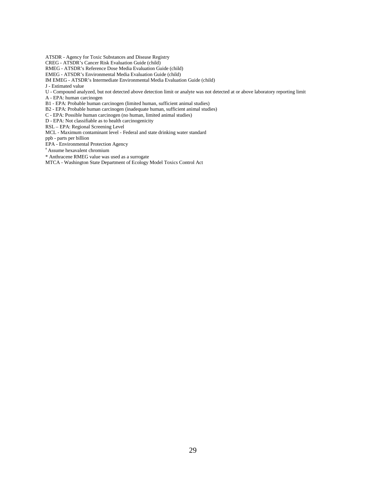ATSDR - Agency for Toxic Substances and Disease Registry

CREG - ATSDR's Cancer Risk Evaluation Guide (child)

RMEG - ATSDR's Reference Dose Media Evaluation Guide (child)

EMEG - ATSDR's Environmental Media Evaluation Guide (child)

IM EMEG - ATSDR's Intermediate Environmental Media Evaluation Guide (child)

J - Estimated value

U - Compound analyzed, but not detected above detection limit or analyte was not detected at or above laboratory reporting limit

A - EPA: human carcinogen

B1 - EPA: Probable human carcinogen (limited human, sufficient animal studies)

B2 - EPA: Probable human carcinogen (inadequate human, sufficient animal studies)

C - EPA: Possible human carcinogen (no human, limited animal studies)

D - EPA: Not classifiable as to health carcinogenicity

RSL – EPA: Regional Screening Level

MCL - Maximum contaminant level - Federal and state drinking water standard

ppb - parts per billion

EPA - Environmental Protection Agency

† Assume hexavalent chromium

\* Anthracene RMEG value was used as a surrogate

MTCA - Washington State Department of Ecology Model Toxics Control Act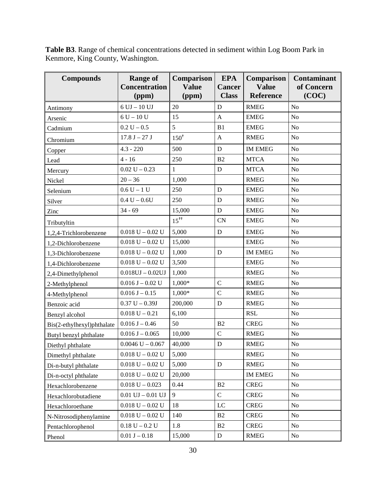| <b>Compounds</b>           | <b>Range of</b><br><b>Concentration</b><br>(ppm) | <b>Comparison</b><br><b>Value</b><br>(ppm) | <b>EPA</b><br><b>Cancer</b><br><b>Class</b> | Comparison<br><b>Value</b><br><b>Reference</b> | <b>Contaminant</b><br>of Concern<br>(COC) |
|----------------------------|--------------------------------------------------|--------------------------------------------|---------------------------------------------|------------------------------------------------|-------------------------------------------|
| Antimony                   | $6$ UJ $-$ 10 UJ                                 | 20                                         | D                                           | <b>RMEG</b>                                    | N <sub>o</sub>                            |
| Arsenic                    | $6 U - 10 U$                                     | 15                                         | $\mathbf{A}$                                | <b>EMEG</b>                                    | N <sub>o</sub>                            |
| Cadmium                    | $0.2 U - 0.5$                                    | 5                                          | B <sub>1</sub>                              | <b>EMEG</b>                                    | No                                        |
| Chromium                   | $17.8 J - 27 J$                                  | $150^{\dagger}$                            | $\mathbf{A}$                                | <b>RMEG</b>                                    | No                                        |
| Copper                     | $4.3 - 220$                                      | 500                                        | D                                           | <b>IM EMEG</b>                                 | N <sub>o</sub>                            |
| Lead                       | $4 - 16$                                         | 250                                        | B <sub>2</sub>                              | <b>MTCA</b>                                    | N <sub>o</sub>                            |
| Mercury                    | $0.02 U - 0.23$                                  | 1                                          | D                                           | <b>MTCA</b>                                    | N <sub>o</sub>                            |
| Nickel                     | $20 - 36$                                        | 1,000                                      |                                             | <b>RMEG</b>                                    | N <sub>o</sub>                            |
| Selenium                   | $0.6 U - 1 U$                                    | 250                                        | D                                           | <b>EMEG</b>                                    | N <sub>o</sub>                            |
| Silver                     | $0.4 U - 0.6 U$                                  | 250                                        | ${\bf D}$                                   | <b>RMEG</b>                                    | No                                        |
| Zinc                       | $34 - 69$                                        | 15,000                                     | D                                           | <b>EMEG</b>                                    | N <sub>o</sub>                            |
| Tributyltin                |                                                  | $15^{11}$                                  | CN                                          | <b>EMEG</b>                                    | N <sub>o</sub>                            |
| 1,2,4-Trichlorobenzene     | $0.018$ U $-$ 0.02 U                             | 5,000                                      | D                                           | <b>EMEG</b>                                    | N <sub>o</sub>                            |
| 1,2-Dichlorobenzene        | $0.018 U - 0.02 U$                               | 15,000                                     |                                             | <b>EMEG</b>                                    | N <sub>o</sub>                            |
| 1,3-Dichlorobenzene        | $0.018$ U $- 0.02$ U                             | 1,000                                      | $\mathbf D$                                 | <b>IM EMEG</b>                                 | No                                        |
| 1,4-Dichlorobenzene        | $0.018 U - 0.02 U$                               | 3,500                                      |                                             | <b>EMEG</b>                                    | No                                        |
| 2,4-Dimethylphenol         | $0.018$ UJ $-0.02$ UJ                            | 1,000                                      |                                             | <b>RMEG</b>                                    | N <sub>o</sub>                            |
| 2-Methylphenol             | $0.016 J - 0.02 U$                               | 1,000*                                     | $\mathbf C$                                 | <b>RMEG</b>                                    | N <sub>o</sub>                            |
| 4-Methylphenol             | $0.016 J - 0.15$                                 | 1,000*                                     | $\overline{C}$                              | <b>RMEG</b>                                    | No                                        |
| Benzoic acid               | $0.37 U - 0.39J$                                 | 200,000                                    | $\mathbf D$                                 | <b>RMEG</b>                                    | No                                        |
| Benzyl alcohol             | $0.018 U - 0.21$                                 | 6,100                                      |                                             | <b>RSL</b>                                     | No                                        |
| Bis(2-ethylhexyl)phthalate | $0.016 J - 0.46$                                 | 50                                         | B <sub>2</sub>                              | <b>CREG</b>                                    | N <sub>o</sub>                            |
| Butyl benzyl phthalate     | $0.016 J - 0.065$                                | 10,000                                     | $\mathcal{C}$                               | <b>RMEG</b>                                    | No                                        |
| Diethyl phthalate          | $0.0046$ U $-0.067$                              | 40,000                                     | $\mathbf D$                                 | <b>RMEG</b>                                    | No                                        |
| Dimethyl phthalate         | $0.018$ U $- 0.02$ U                             | 5,000                                      |                                             | <b>RMEG</b>                                    | N <sub>o</sub>                            |
| Di-n-butyl phthalate       | $0.018$ U $-$ 0.02 U                             | 5,000                                      | D                                           | <b>RMEG</b>                                    | No                                        |
| Di-n-octyl phthalate       | $0.018$ U $-$ 0.02 U                             | 20,000                                     |                                             | <b>IM EMEG</b>                                 | No                                        |
| Hexachlorobenzene          | $0.018 U - 0.023$                                | 0.44                                       | B2                                          | <b>CREG</b>                                    | No                                        |
| Hexachlorobutadiene        | $0.01$ UJ $-0.01$ UJ                             | 9                                          | $\mathbf C$                                 | <b>CREG</b>                                    | No                                        |
| Hexachloroethane           | $0.018$ U $-$ 0.02 U                             | 18                                         | LC                                          | <b>CREG</b>                                    | No                                        |
| N-Nitrosodiphenylamine     | $0.018$ U $-$ 0.02 U                             | 140                                        | B <sub>2</sub>                              | <b>CREG</b>                                    | No                                        |
| Pentachlorophenol          | $0.18 U - 0.2 U$                                 | 1.8                                        | B <sub>2</sub>                              | <b>CREG</b>                                    | $\rm No$                                  |
| Phenol                     | $0.01 J - 0.18$                                  | 15,000                                     | $\mathbf D$                                 | <b>RMEG</b>                                    | No                                        |

**Table B3**. Range of chemical concentrations detected in sediment within Log Boom Park in Kenmore, King County, Washington.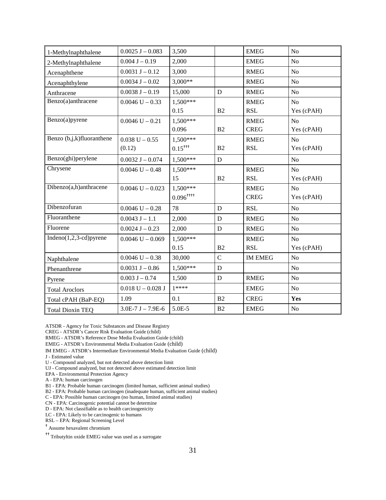| 1-Methylnaphthalene        | $0.0025$ J $-0.083$   | 3,500                   |                | <b>EMEG</b>    | N <sub>o</sub> |
|----------------------------|-----------------------|-------------------------|----------------|----------------|----------------|
| 2-Methylnaphthalene        | $0.004$ J $- 0.19$    | 2,000                   |                | <b>EMEG</b>    | N <sub>o</sub> |
| Acenaphthene               | $0.0031 J - 0.12$     | 3,000                   |                | <b>RMEG</b>    | N <sub>o</sub> |
| Acenaphthylene             | $0.0034$ J $-0.02$    | $3,000**$               |                | <b>RMEG</b>    | N <sub>o</sub> |
| Anthracene                 | $0.0038$ J $-0.19$    | 15,000                  | $\mathbf D$    | <b>RMEG</b>    | No             |
| Benzo(a)anthracene         | $0.0046$ U $- 0.33$   | 1,500***                |                | <b>RMEG</b>    | N <sub>o</sub> |
|                            |                       | 0.15                    | B <sub>2</sub> | <b>RSL</b>     | Yes (cPAH)     |
| Benzo(a)pyrene             | $0.0046$ U $- 0.21$   | 1,500***                |                | <b>RMEG</b>    | N <sub>o</sub> |
|                            |                       | 0.096                   | B2             | <b>CREG</b>    | Yes (cPAH)     |
| Benzo (b,j,k)fluoranthene  | $0.038$ U $- 0.55$    | 1,500***                |                | <b>RMEG</b>    | N <sub>o</sub> |
|                            | (0.12)                | $0.15^{+++}$            | B2             | <b>RSL</b>     | Yes (cPAH)     |
| Benzo(ghi)perylene         | $0.0032$ J $-0.074$   | 1,500***                | $\mathbf D$    |                | N <sub>o</sub> |
| Chrysene                   | $0.0046$ U $- 0.48$   | $1,500***$              |                | <b>RMEG</b>    | N <sub>o</sub> |
|                            |                       | 15                      | B2             | <b>RSL</b>     | Yes (cPAH)     |
| Dibenzo(a,h)anthracene     | $0.0046$ U $- 0.023$  | $1,500***$              |                | <b>RMEG</b>    | N <sub>o</sub> |
|                            |                       | $0.096$ <sup>++++</sup> |                | <b>CREG</b>    | Yes (cPAH)     |
| Dibenzofuran               | $0.0046$ U $- 0.28$   | 78                      | ${\bf D}$      | <b>RSL</b>     | N <sub>o</sub> |
| Fluoranthene               | $0.0043 J - 1.1$      | 2,000                   | D              | <b>RMEG</b>    | N <sub>o</sub> |
| Fluorene                   | $0.0024$ J $- 0.23$   | 2,000                   | D              | <b>RMEG</b>    | N <sub>o</sub> |
| Indeno $(1,2,3$ -cd)pyrene | $0.0046$ U $-0.069$   | 1,500***                |                | <b>RMEG</b>    | N <sub>o</sub> |
|                            |                       | 0.15                    | B <sub>2</sub> | <b>RSL</b>     | Yes (cPAH)     |
| Naphthalene                | $0.0046$ U $- 0.38$   | 30,000                  | $\overline{C}$ | <b>IM EMEG</b> | N <sub>o</sub> |
| Phenanthrene               | $0.0031$ J $-0.86$    | 1,500***                | $\mathbf D$    |                | No             |
| Pyrene                     | $0.003 J - 0.74$      | 1,500                   | $\mathbf D$    | <b>RMEG</b>    | N <sub>o</sub> |
| <b>Total Aroclors</b>      | $0.018$ U $- 0.028$ J | $1****$                 |                | <b>EMEG</b>    | N <sub>o</sub> |
| Total cPAH (BaP-EQ)        | 1.09                  | 0.1                     | B2             | <b>CREG</b>    | Yes            |
| <b>Total Dioxin TEQ</b>    | $3.0E-7 J - 7.9E-6$   | 5.0E-5                  | B2             | <b>EMEG</b>    | N <sub>o</sub> |

ATSDR - Agency for Toxic Substances and Disease Registry

CREG - ATSDR's Cancer Risk Evaluation Guide (child)

RMEG - ATSDR's Reference Dose Media Evaluation Guide (child)

EMEG - ATSDR's Environmental Media Evaluation Guide (child)

IM EMEG - ATSDR's Intermediate Environmental Media Evaluation Guide (child)

J - Estimated value

U - Compound analyzed, but not detected above detection limit

UJ - Compound analyzed, but not detected above estimated detection limit

EPA - Environmental Protection Agency

A - EPA: human carcinogen

B1 - EPA: Probable human carcinogen (limited human, sufficient animal studies)

B2 - EPA: Probable human carcinogen (inadequate human, sufficient animal studies)

C - EPA: Possible human carcinogen (no human, limited animal studies)

CN - EPA: Carcinogenic potential cannot be determine

D - EPA: Not classifiable as to health carcinogenicity

LC - EPA: Likely to be carcinogenic to humans

RSL – EPA: Regional Screening Level

† Assume hexavalent chromium

†† Tributyltin oxide EMEG value was used as a surrogate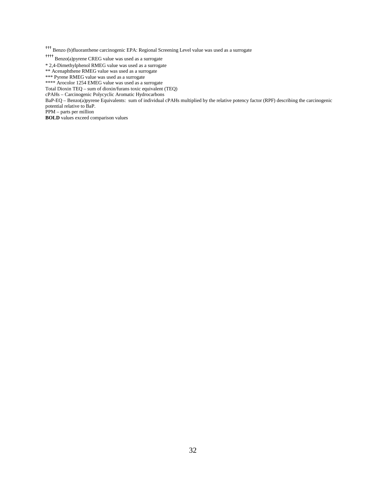††† Benzo (b)fluoranthene carcinogenic EPA: Regional Screening Level value was used as a surrogate

†††† Benzo(a)pyrene CREG value was used as a surrogate

\* 2,4-Dimethylphenol RMEG value was used as a surrogate

\*\* Acenaphthene RMEG value was used as a surrogate

\*\*\* Pyrene RMEG value was used as a surrogate

\*\*\*\* Arocolor 1254 EMEG value was used as a surrogate

Total Dioxin TEQ – sum of dioxin/furans toxic equivalent (TEQ)

cPAHs – Carcinogenic Polycyclic Aromatic Hydrocarbons

BaP-EQ – Benzo(a)pyrene Equivalents: sum of individual cPAHs multiplied by the relative potency factor (RPF) describing the carcinogenic potential relative to BaP.

PPM – parts per million

**BOLD** values exceed comparison values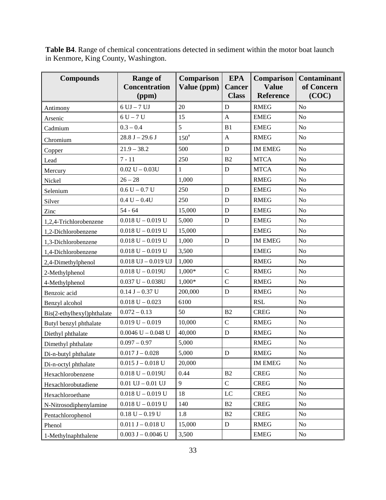**Table B4**. Range of chemical concentrations detected in sediment within the motor boat launch in Kenmore, King County, Washington.

| <b>Compounds</b>           | <b>Range of</b><br><b>Concentration</b><br>(ppm) | <b>EPA</b><br>Comparison<br>Value (ppm)<br><b>Cancer</b><br><b>Class</b> |               | <b>Comparison</b><br><b>Value</b><br><b>Reference</b> | <b>Contaminant</b><br>of Concern<br>(COC) |
|----------------------------|--------------------------------------------------|--------------------------------------------------------------------------|---------------|-------------------------------------------------------|-------------------------------------------|
| Antimony                   | $6$ UJ $-7$ UJ                                   | 20                                                                       | $\mathbf D$   | <b>RMEG</b>                                           | No                                        |
| Arsenic                    | $6U - 7U$                                        | 15                                                                       | $\mathbf{A}$  | <b>EMEG</b>                                           | No                                        |
| Cadmium                    | $0.3 - 0.4$                                      | 5                                                                        | B1            | <b>EMEG</b>                                           | No                                        |
| Chromium                   | $28.8 J - 29.6 J$                                | $150^{\dagger}$                                                          | $\mathbf{A}$  | <b>RMEG</b>                                           | N <sub>o</sub>                            |
| Copper                     | $21.9 - 38.2$                                    | 500                                                                      | $\mathbf D$   | <b>IM EMEG</b>                                        | N <sub>o</sub>                            |
| Lead                       | $7 - 11$                                         | 250                                                                      | B2            | <b>MTCA</b>                                           | N <sub>o</sub>                            |
| Mercury                    | $0.02 U - 0.03U$                                 | $\mathbf{1}$                                                             | D             | <b>MTCA</b>                                           | N <sub>o</sub>                            |
| Nickel                     | $26 - 28$                                        | 1,000                                                                    |               | <b>RMEG</b>                                           | No                                        |
| Selenium                   | $0.6 U - 0.7 U$                                  | 250                                                                      | $\mathbf D$   | <b>EMEG</b>                                           | N <sub>o</sub>                            |
| Silver                     | $0.4 U - 0.4U$                                   | 250                                                                      | D             | <b>RMEG</b>                                           | No                                        |
| Zinc                       | $54 - 64$                                        | 15,000                                                                   | $\mathbf D$   | <b>EMEG</b>                                           | No                                        |
| 1,2,4-Trichlorobenzene     | $0.018$ U $-$ 0.019 U                            | 5,000                                                                    | ${\bf D}$     | <b>EMEG</b>                                           | N <sub>o</sub>                            |
| 1,2-Dichlorobenzene        | $0.018$ U $-$ 0.019 U                            | 15,000                                                                   |               | <b>EMEG</b>                                           | No                                        |
| 1,3-Dichlorobenzene        | $0.018$ U $-$ 0.019 U                            | 1,000                                                                    | D             | <b>IM EMEG</b>                                        | N <sub>o</sub>                            |
| 1,4-Dichlorobenzene        | $0.018$ U $-$ 0.019 U                            | 3,500                                                                    |               | <b>EMEG</b>                                           | N <sub>o</sub>                            |
| 2,4-Dimethylphenol         | $0.018$ UJ $-0.019$ UJ                           | 1,000                                                                    |               | <b>RMEG</b>                                           | N <sub>o</sub>                            |
| 2-Methylphenol             | $0.018 U - 0.019U$                               | 1,000*                                                                   | $\mathsf{C}$  | <b>RMEG</b>                                           | N <sub>o</sub>                            |
| 4-Methylphenol             | $0.037 U - 0.038U$                               | $1,000*$                                                                 | $\mathsf{C}$  | <b>RMEG</b>                                           | No                                        |
| Benzoic acid               | $0.14 J - 0.37 U$                                | 200,000                                                                  | $\mathbf D$   | <b>RMEG</b>                                           | No                                        |
| Benzyl alcohol             | $0.018$ U $- 0.023$                              | 6100                                                                     |               | <b>RSL</b>                                            | No                                        |
| Bis(2-ethylhexyl)phthalate | $0.072 - 0.13$                                   | 50                                                                       | B2            | <b>CREG</b>                                           | No                                        |
| Butyl benzyl phthalate     | $0.019 U - 0.019$                                | 10,000                                                                   | $\mathcal{C}$ | <b>RMEG</b>                                           | N <sub>o</sub>                            |
| Diethyl phthalate          | $0.0046$ U $- 0.048$ U                           | 40,000                                                                   | ${\bf D}$     | <b>RMEG</b>                                           | No                                        |
| Dimethyl phthalate         | $0.097 - 0.97$                                   | 5,000                                                                    |               | <b>RMEG</b>                                           | No                                        |
| Di-n-butyl phthalate       | $0.017 J - 0.028$                                | 5,000                                                                    | ${\bf D}$     | <b>RMEG</b>                                           | No                                        |
| Di-n-octyl phthalate       | $0.015$ J $- 0.018$ U                            | 20,000                                                                   |               | <b>IM EMEG</b>                                        | No                                        |
| Hexachlorobenzene          | $0.018 U - 0.019U$                               | 0.44                                                                     | B2            | <b>CREG</b>                                           | No                                        |
| Hexachlorobutadiene        | $0.01$ UJ $-0.01$ UJ                             | 9                                                                        | $\mathbf C$   | <b>CREG</b>                                           | No                                        |
| Hexachloroethane           | $0.018$ U $-$ 0.019 U                            | 18                                                                       | LC            | <b>CREG</b>                                           | No                                        |
| N-Nitrosodiphenylamine     | $0.018$ U $-$ 0.019 U                            | 140                                                                      | B2            | <b>CREG</b>                                           | No                                        |
| Pentachlorophenol          | $0.18 U - 0.19 U$                                | 1.8                                                                      | B2            | <b>CREG</b>                                           | No                                        |
| Phenol                     | $0.011 J - 0.018 U$                              | 15,000                                                                   | ${\bf D}$     | <b>RMEG</b>                                           | No                                        |
| 1-Methylnaphthalene        | $0.003$ J $- 0.0046$ U                           | 3,500                                                                    |               | <b>EMEG</b>                                           | $\rm No$                                  |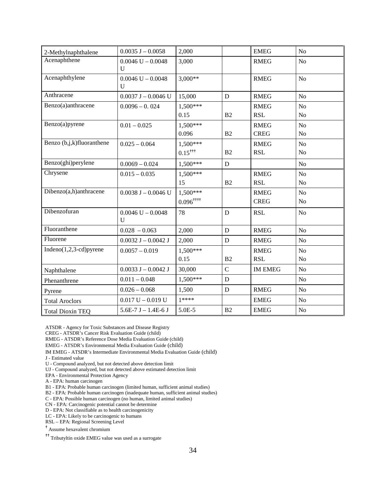| 2-Methylnaphthalene        | $0.0035$ J $-0.0058$                  | 2,000                   |                | <b>EMEG</b>    | $\rm No$       |
|----------------------------|---------------------------------------|-------------------------|----------------|----------------|----------------|
| Acenaphthene               | $0.0046$ U $- 0.0048$<br>$\mathbf{U}$ | 3,000                   |                | <b>RMEG</b>    | N <sub>o</sub> |
| Acenaphthylene             | $0.0046$ U $- 0.0048$<br>U            | $3,000**$               |                | <b>RMEG</b>    | No             |
| Anthracene                 | $0.0037$ J $- 0.0046$ U               | 15,000                  | $\mathbf D$    | <b>RMEG</b>    | N <sub>o</sub> |
| Benzo(a)anthracene         | $0.0096 - 0.024$                      | $1,500***$              |                | <b>RMEG</b>    | N <sub>o</sub> |
|                            |                                       | 0.15                    | B <sub>2</sub> | <b>RSL</b>     | No             |
| Benzo(a)pyrene             | $0.01 - 0.025$                        | $1.500***$              |                | <b>RMEG</b>    | N <sub>o</sub> |
|                            |                                       | 0.096                   | B2             | <b>CREG</b>    | N <sub>o</sub> |
| Benzo (b,j,k)fluoranthene  | $0.025 - 0.064$                       | 1,500***                |                | <b>RMEG</b>    | No             |
|                            |                                       | $0.15^{+11}$            | B2             | <b>RSL</b>     | N <sub>o</sub> |
| Benzo(ghi)perylene         | $0.0069 - 0.024$                      | $1,500***$              | $\mathbf D$    |                | N <sub>o</sub> |
| Chrysene                   | $0.015 - 0.035$                       | $1,500***$              |                | <b>RMEG</b>    | N <sub>o</sub> |
|                            |                                       | 15                      | B2             | <b>RSL</b>     | N <sub>0</sub> |
| Dibenzo(a,h)anthracene     | $0.0038$ J $-0.0046$ U                | $1,500***$              |                | <b>RMEG</b>    | N <sub>o</sub> |
|                            |                                       | $0.096$ <sup>††††</sup> |                | <b>CREG</b>    | No             |
| Dibenzofuran               | $0.0046$ U $- 0.0048$<br>$\mathbf{U}$ | 78                      | $\mathbf D$    | <b>RSL</b>     | N <sub>o</sub> |
| Fluoranthene               | $0.028 - 0.063$                       | 2,000                   | $\mathbf D$    | <b>RMEG</b>    | N <sub>o</sub> |
| Fluorene                   | $0.0032$ J $-0.0042$ J                | 2,000                   | D              | <b>RMEG</b>    | N <sub>o</sub> |
| Indeno $(1,2,3$ -cd)pyrene | $0.0057 - 0.019$                      | 1,500***                |                | <b>RMEG</b>    | N <sub>o</sub> |
|                            |                                       | 0.15                    | B2             | <b>RSL</b>     | N <sub>o</sub> |
| Naphthalene                | $0.0033$ J $-0.0042$ J                | 30,000                  | $\overline{C}$ | <b>IM EMEG</b> | N <sub>o</sub> |
| Phenanthrene               | $0.011 - 0.048$                       | $1,500***$              | $\mathbf D$    |                | No             |
| Pyrene                     | $0.026 - 0.068$                       | 1,500                   | D              | <b>RMEG</b>    | No             |
| <b>Total Aroclors</b>      | $0.017 U - 0.019 U$                   | $1****$                 |                | <b>EMEG</b>    | N <sub>o</sub> |
| <b>Total Dioxin TEQ</b>    | $5.6E-7 J - 1.4E-6 J$                 | 5.0E-5                  | B2             | <b>EMEG</b>    | No             |

ATSDR - Agency for Toxic Substances and Disease Registry

CREG - ATSDR's Cancer Risk Evaluation Guide (child)

RMEG - ATSDR's Reference Dose Media Evaluation Guide (child)

EMEG - ATSDR's Environmental Media Evaluation Guide (child)

IM EMEG - ATSDR's Intermediate Environmental Media Evaluation Guide (child)

J - Estimated value

U - Compound analyzed, but not detected above detection limit

UJ - Compound analyzed, but not detected above estimated detection limit

EPA - Environmental Protection Agency

A - EPA: human carcinogen

B1 - EPA: Probable human carcinogen (limited human, sufficient animal studies)

B2 - EPA: Probable human carcinogen (inadequate human, sufficient animal studies)

C - EPA: Possible human carcinogen (no human, limited animal studies)

CN - EPA: Carcinogenic potential cannot be determine

D - EPA: Not classifiable as to health carcinogenicity

LC - EPA: Likely to be carcinogenic to humans

RSL – EPA: Regional Screening Level

† Assume hexavalent chromium

†† Tributyltin oxide EMEG value was used as a surrogate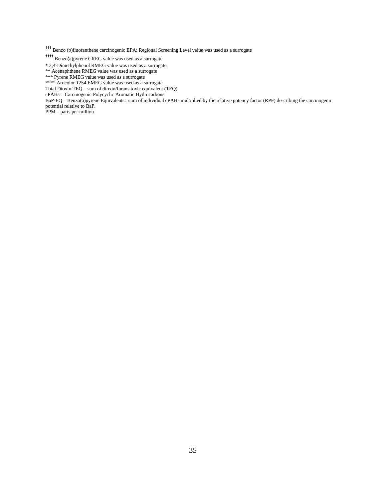††† Benzo (b)fluoranthene carcinogenic EPA: Regional Screening Level value was used as a surrogate

†††† Benzo(a)pyrene CREG value was used as a surrogate

\* 2,4-Dimethylphenol RMEG value was used as a surrogate

\*\* Acenaphthene RMEG value was used as a surrogate

\*\*\* Pyrene RMEG value was used as a surrogate

\*\*\*\* Arocolor 1254 EMEG value was used as a surrogate

Total Dioxin TEQ – sum of dioxin/furans toxic equivalent (TEQ)

cPAHs – Carcinogenic Polycyclic Aromatic Hydrocarbons

BaP-EQ – Benzo(a)pyrene Equivalents: sum of individual cPAHs multiplied by the relative potency factor (RPF) describing the carcinogenic potential relative to BaP.

PPM – parts per million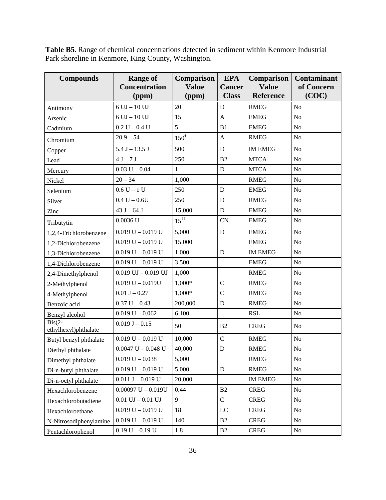**Table B5**. Range of chemical concentrations detected in sediment within Kenmore Industrial Park shoreline in Kenmore, King County, Washington.

| <b>Compounds</b>                 | <b>Range of</b><br><b>Concentration</b> | <b>EPA</b><br>Comparison<br><b>Value</b><br><b>Cancer</b> |               | Comparison<br><b>Value</b> | <b>Contaminant</b><br>of Concern |
|----------------------------------|-----------------------------------------|-----------------------------------------------------------|---------------|----------------------------|----------------------------------|
|                                  | (ppm)                                   | (ppm)                                                     | <b>Class</b>  | <b>Reference</b>           | (COC)                            |
| Antimony                         | $6$ UJ $-$ 10 UJ                        | 20                                                        | D             | <b>RMEG</b>                | N <sub>o</sub>                   |
| Arsenic                          | $6$ UJ $-$ 10 UJ                        | 15                                                        | $\mathbf{A}$  | <b>EMEG</b>                | No                               |
| Cadmium                          | $0.2 U - 0.4 U$                         | 5                                                         | B1            | <b>EMEG</b>                | N <sub>o</sub>                   |
| Chromium                         | $20.9 - 54$                             | $150^{\dagger}$                                           | $\mathbf{A}$  | <b>RMEG</b>                | No                               |
| Copper                           | $5.4 J - 13.5 J$                        | 500                                                       | D             | <b>IM EMEG</b>             | N <sub>o</sub>                   |
| Lead                             | $4 J - 7 J$                             | 250                                                       | B2            | <b>MTCA</b>                | No                               |
| Mercury                          | $0.03 U - 0.04$                         | 1                                                         | D             | <b>MTCA</b>                | N <sub>o</sub>                   |
| Nickel                           | $20 - 34$                               | 1,000                                                     |               | <b>RMEG</b>                | N <sub>o</sub>                   |
| Selenium                         | $0.6 U - 1 U$                           | 250                                                       | D             | <b>EMEG</b>                | N <sub>o</sub>                   |
| Silver                           | $0.4 U - 0.6 U$                         | 250                                                       | D             | <b>RMEG</b>                | No                               |
| Zinc                             | 43 $J - 64 J$                           | 15,000                                                    | ${\bf D}$     | <b>EMEG</b>                | N <sub>o</sub>                   |
| Tributytin                       | $0.0036$ U                              | $15^{tt}$                                                 | <b>CN</b>     | <b>EMEG</b>                | N <sub>o</sub>                   |
| 1,2,4-Trichlorobenzene           | $0.019 U - 0.019 U$                     | 5,000                                                     | D             | <b>EMEG</b>                | N <sub>o</sub>                   |
| 1,2-Dichlorobenzene              | $0.019 U - 0.019 U$                     | 15,000                                                    |               | <b>EMEG</b>                | N <sub>o</sub>                   |
| 1,3-Dichlorobenzene              | $0.019 U - 0.019 U$                     | 1,000                                                     | D             | <b>IM EMEG</b>             | N <sub>o</sub>                   |
| 1,4-Dichlorobenzene              | $0.019 U - 0.019 U$                     | 3,500                                                     |               | <b>EMEG</b>                | No                               |
| 2,4-Dimethylphenol               | $0.019$ UJ $-0.019$ UJ                  | 1,000                                                     |               | <b>RMEG</b>                | N <sub>o</sub>                   |
| 2-Methylphenol                   | $0.019 U - 0.019U$                      | 1,000*                                                    | $\mathbf C$   | <b>RMEG</b>                | N <sub>o</sub>                   |
| 4-Methylphenol                   | $0.01 J - 0.27$                         | $1,000*$                                                  | $\mathcal{C}$ | <b>RMEG</b>                | No                               |
| Benzoic acid                     | $0.37 U - 0.43$                         | 200,000                                                   | ${\bf D}$     | <b>RMEG</b>                | N <sub>o</sub>                   |
| Benzyl alcohol                   | $0.019 U - 0.062$                       | 6,100                                                     |               | <b>RSL</b>                 | No                               |
| $Bis(2-$<br>ethylhexyl)phthalate | $0.019 J - 0.15$                        | 50                                                        | B2            | <b>CREG</b>                | No                               |
| Butyl benzyl phthalate           | $0.019 U - 0.019 U$                     | 10,000                                                    | $\mathbf C$   | <b>RMEG</b>                | $\rm No$                         |
| Diethyl phthalate                | $0.0047$ U $- 0.048$ U                  | 40,000                                                    | $\mathbf D$   | <b>RMEG</b>                | No                               |
| Dimethyl phthalate               | $0.019 U - 0.038$                       | 5,000                                                     |               | <b>RMEG</b>                | No                               |
| Di-n-butyl phthalate             | $0.019 U - 0.019 U$                     | 5,000                                                     | ${\bf D}$     | <b>RMEG</b>                | No                               |
| Di-n-octyl phthalate             | $0.011$ J $-$ 0.019 U                   | 20,000                                                    |               | <b>IM EMEG</b>             | No                               |
| Hexachlorobenzene                | $0.00097$ U - $0.019$ U                 | 0.44                                                      | B2            | <b>CREG</b>                | No                               |
| Hexachlorobutadiene              | $0.01$ UJ $-0.01$ UJ                    | 9                                                         | $\mathbf C$   | <b>CREG</b>                | No                               |
| Hexachloroethane                 | $0.019 U - 0.019 U$                     | 18                                                        | LC            | <b>CREG</b>                | No                               |
| N-Nitrosodiphenylamine           | $0.019 U - 0.019 U$                     | 140                                                       | B2            | <b>CREG</b>                | No                               |
| Pentachlorophenol                | $0.19 U - 0.19 U$                       | 1.8                                                       | B2            | <b>CREG</b>                | No                               |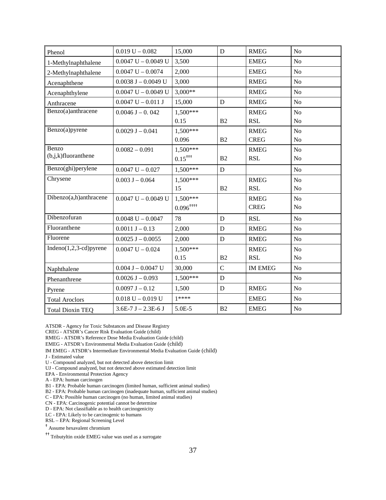| Phenol                     | $0.019 U - 0.082$       | 15,000                  | D              | <b>RMEG</b>    | N <sub>o</sub> |
|----------------------------|-------------------------|-------------------------|----------------|----------------|----------------|
| 1-Methylnaphthalene        | $0.0047$ U $- 0.0049$ U | 3,500                   |                | <b>EMEG</b>    | N <sub>o</sub> |
| 2-Methylnaphthalene        | $0.0047$ U $- 0.0074$   | 2,000                   |                | <b>EMEG</b>    | N <sub>o</sub> |
| Acenaphthene               | $0.0038$ J $- 0.0049$ U | 3,000                   |                | <b>RMEG</b>    | N <sub>o</sub> |
| Acenaphthylene             | $0.0047$ U $- 0.0049$ U | $3,000**$               |                | <b>RMEG</b>    | N <sub>o</sub> |
| Anthracene                 | $0.0047$ U $-0.011$ J   | 15,000                  | D              | <b>RMEG</b>    | N <sub>o</sub> |
| Benzo(a)anthracene         | $0.0046 J - 0.042$      | $1,500***$              |                | <b>RMEG</b>    | N <sub>o</sub> |
|                            |                         | 0.15                    | B <sub>2</sub> | <b>RSL</b>     | N <sub>o</sub> |
| Benzo(a)pyrene             | $0.0029 J - 0.041$      | $1,500***$              |                | <b>RMEG</b>    | N <sub>o</sub> |
|                            |                         | 0.096                   | B2             | <b>CREG</b>    | N <sub>o</sub> |
| Benzo                      | $0.0082 - 0.091$        | $1,500***$              |                | <b>RMEG</b>    | N <sub>o</sub> |
| $(b,j,k)$ fluoranthene     |                         | $0.15^{+11}$            | B <sub>2</sub> | <b>RSL</b>     | N <sub>o</sub> |
| Benzo(ghi)perylene         | $0.0047$ U $- 0.027$    | $1,500***$              | $\mathbf D$    |                | N <sub>o</sub> |
| Chrysene                   | $0.003$ J $- 0.064$     | $1,500***$              |                | <b>RMEG</b>    | N <sub>o</sub> |
|                            |                         | 15                      | B2             | <b>RSL</b>     | N <sub>o</sub> |
| Dibenzo(a,h)anthracene     | $0.0047$ U $- 0.0049$ U | $1,500***$              |                | <b>RMEG</b>    | N <sub>o</sub> |
|                            |                         | $0.096$ <sup>++++</sup> |                | <b>CREG</b>    | N <sub>o</sub> |
| Dibenzofuran               | $0.0048$ U $- 0.0047$   | 78                      | D              | <b>RSL</b>     | N <sub>o</sub> |
| Fluoranthene               | $0.0011 J - 0.13$       | 2,000                   | D              | <b>RMEG</b>    | N <sub>o</sub> |
| Fluorene                   | $0.0025$ J $-0.0055$    | 2,000                   | $\mathbf D$    | <b>RMEG</b>    | N <sub>o</sub> |
| Indeno $(1,2,3$ -cd)pyrene | $0.0047$ U $- 0.024$    | $1,500***$              |                | <b>RMEG</b>    | N <sub>o</sub> |
|                            |                         | 0.15                    | B <sub>2</sub> | <b>RSL</b>     | N <sub>o</sub> |
| Naphthalene                | $0.004$ J $- 0.0047$ U  | 30,000                  | $\overline{C}$ | <b>IM EMEG</b> | N <sub>o</sub> |
| Phenanthrene               | $0.0026$ J $- 0.093$    | 1,500***                | D              |                | N <sub>o</sub> |
| Pyrene                     | $0.0097 J - 0.12$       | 1,500                   | D              | <b>RMEG</b>    | N <sub>o</sub> |
| <b>Total Aroclors</b>      | $0.018$ U $- 0.019$ U   | $1****$                 |                | <b>EMEG</b>    | N <sub>o</sub> |
| <b>Total Dioxin TEQ</b>    | $3.6E-7 J - 2.3E-6 J$   | 5.0E-5                  | B2             | <b>EMEG</b>    | N <sub>o</sub> |

ATSDR - Agency for Toxic Substances and Disease Registry

CREG - ATSDR's Cancer Risk Evaluation Guide (child)

RMEG - ATSDR's Reference Dose Media Evaluation Guide (child)

EMEG - ATSDR's Environmental Media Evaluation Guide (child)

IM EMEG - ATSDR's Intermediate Environmental Media Evaluation Guide (child)

J - Estimated value

U - Compound analyzed, but not detected above detection limit

UJ - Compound analyzed, but not detected above estimated detection limit

EPA - Environmental Protection Agency

A - EPA: human carcinogen

B1 - EPA: Probable human carcinogen (limited human, sufficient animal studies)

B2 - EPA: Probable human carcinogen (inadequate human, sufficient animal studies)

C - EPA: Possible human carcinogen (no human, limited animal studies)

CN - EPA: Carcinogenic potential cannot be determine

D - EPA: Not classifiable as to health carcinogenicity

LC - EPA: Likely to be carcinogenic to humans

RSL – EPA: Regional Screening Level

† Assume hexavalent chromium

†† Tributyltin oxide EMEG value was used as a surrogate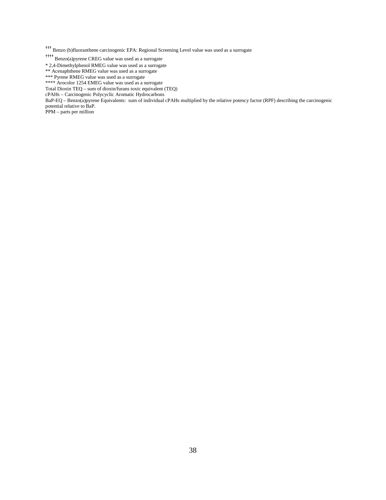††† Benzo (b)fluoranthene carcinogenic EPA: Regional Screening Level value was used as a surrogate

†††† Benzo(a)pyrene CREG value was used as a surrogate

\* 2,4-Dimethylphenol RMEG value was used as a surrogate

\*\* Acenaphthene RMEG value was used as a surrogate

\*\*\* Pyrene RMEG value was used as a surrogate

\*\*\*\* Arocolor 1254 EMEG value was used as a surrogate

Total Dioxin TEQ – sum of dioxin/furans toxic equivalent (TEQ)

cPAHs – Carcinogenic Polycyclic Aromatic Hydrocarbons

BaP-EQ – Benzo(a)pyrene Equivalents: sum of individual cPAHs multiplied by the relative potency factor (RPF) describing the carcinogenic potential relative to BaP.

PPM – parts per million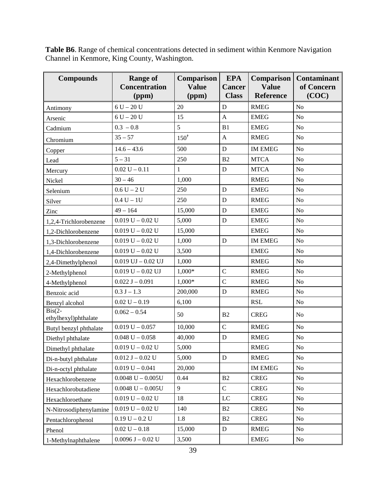**Table B6**. Range of chemical concentrations detected in sediment within Kenmore Navigation Channel in Kenmore, King County, Washington.

| <b>Compounds</b>                 | <b>Range of</b><br><b>Concentration</b><br>(ppm) | Comparison<br><b>Value</b><br>(ppm) | <b>EPA</b><br><b>Cancer</b><br><b>Class</b> | Comparison<br><b>Value</b><br><b>Reference</b> | <b>Contaminant</b><br>of Concern<br>(COC) |
|----------------------------------|--------------------------------------------------|-------------------------------------|---------------------------------------------|------------------------------------------------|-------------------------------------------|
| Antimony                         | $6 U - 20 U$                                     | 20                                  | D                                           | <b>RMEG</b>                                    | No                                        |
| Arsenic                          | $6 U - 20 U$                                     | 15                                  | $\mathbf{A}$                                | <b>EMEG</b>                                    | N <sub>o</sub>                            |
| Cadmium                          | $0.3 - 0.8$                                      | 5                                   | B1                                          | <b>EMEG</b>                                    | N <sub>o</sub>                            |
| Chromium                         | $35 - 57$                                        | $150^{\dagger}$                     | $\mathbf{A}$                                | <b>RMEG</b>                                    | No                                        |
| Copper                           | $14.6 - 43.6$                                    | 500                                 | ${\bf D}$                                   | <b>IM EMEG</b>                                 | N <sub>o</sub>                            |
| Lead                             | $5 - 31$                                         | 250                                 | B2                                          | <b>MTCA</b>                                    | N <sub>o</sub>                            |
| Mercury                          | $0.02 U - 0.11$                                  | $\mathbf{1}$                        | D                                           | <b>MTCA</b>                                    | No                                        |
| Nickel                           | $30 - 46$                                        | 1,000                               |                                             | <b>RMEG</b>                                    | No                                        |
| Selenium                         | $0.6 U - 2 U$                                    | 250                                 | D                                           | <b>EMEG</b>                                    | N <sub>o</sub>                            |
| Silver                           | $0.4 U - 1U$                                     | 250                                 | D                                           | <b>RMEG</b>                                    | No                                        |
| Zinc                             | $49 - 164$                                       | 15,000                              | $\mathbf D$                                 | <b>EMEG</b>                                    | N <sub>o</sub>                            |
| 1,2,4-Trichlorobenzene           | $0.019 U - 0.02 U$                               | 5,000                               | ${\bf D}$                                   | <b>EMEG</b>                                    | N <sub>o</sub>                            |
| 1,2-Dichlorobenzene              | $0.019 U - 0.02 U$                               | 15,000                              |                                             | <b>EMEG</b>                                    | No                                        |
| 1,3-Dichlorobenzene              | $0.019 U - 0.02 U$                               | 1,000                               | D                                           | <b>IM EMEG</b>                                 | N <sub>o</sub>                            |
| 1,4-Dichlorobenzene              | $0.019 U - 0.02 U$                               | 3,500                               |                                             | <b>EMEG</b>                                    | No                                        |
| 2,4-Dimethylphenol               | $0.019$ UJ $-0.02$ UJ                            | 1,000                               |                                             | <b>RMEG</b>                                    | No                                        |
| 2-Methylphenol                   | $0.019 U - 0.02 UJ$                              | 1,000*                              | $\mathsf{C}$                                | <b>RMEG</b>                                    | N <sub>o</sub>                            |
| 4-Methylphenol                   | $0.022 J - 0.091$                                | 1,000*                              | $\mathsf{C}$                                | <b>RMEG</b>                                    | No                                        |
| Benzoic acid                     | $0.3 J - 1.3$                                    | 200,000                             | $\mathbf D$                                 | <b>RMEG</b>                                    | No                                        |
| Benzyl alcohol                   | $0.02 U - 0.19$                                  | 6,100                               |                                             | <b>RSL</b>                                     | No                                        |
| $Bis(2-$<br>ethylhexyl)phthalate | $0.062 - 0.54$                                   | 50                                  | B2                                          | <b>CREG</b>                                    | N <sub>o</sub>                            |
| Butyl benzyl phthalate           | $0.019 U - 0.057$                                | 10,000                              | $\overline{C}$                              | <b>RMEG</b>                                    | N <sub>o</sub>                            |
| Diethyl phthalate                | $0.048$ U $- 0.058$                              | 40,000                              | $\mathbf D$                                 | <b>RMEG</b>                                    | No                                        |
| Dimethyl phthalate               | $0.019 U - 0.02 U$                               | 5,000                               |                                             | <b>RMEG</b>                                    | No                                        |
| Di-n-butyl phthalate             | $0.012$ J $- 0.02$ U                             | 5,000                               | D                                           | <b>RMEG</b>                                    | No                                        |
| Di-n-octyl phthalate             | $0.019 U - 0.041$                                | 20,000                              |                                             | <b>IM EMEG</b>                                 | No                                        |
| Hexachlorobenzene                | $0.0048$ U $- 0.005$ U                           | 0.44                                | B2                                          | <b>CREG</b>                                    | No                                        |
| Hexachlorobutadiene              | $0.0048$ U $- 0.005$ U                           | 9                                   | $\mathsf{C}$                                | <b>CREG</b>                                    | No                                        |
| Hexachloroethane                 | $0.019 U - 0.02 U$                               | 18                                  | LC                                          | <b>CREG</b>                                    | No                                        |
| N-Nitrosodiphenylamine           | $0.019 U - 0.02 U$                               | 140                                 | B2                                          | <b>CREG</b>                                    | No                                        |
| Pentachlorophenol                | $0.19 U - 0.2 U$                                 | 1.8                                 | B2                                          | <b>CREG</b>                                    | No                                        |
| Phenol                           | $0.02 U - 0.18$                                  | 15,000                              | ${\rm D}$                                   | <b>RMEG</b>                                    | No                                        |
| 1-Methylnaphthalene              | $0.0096$ J $- 0.02$ U                            | 3,500                               |                                             | <b>EMEG</b>                                    | No                                        |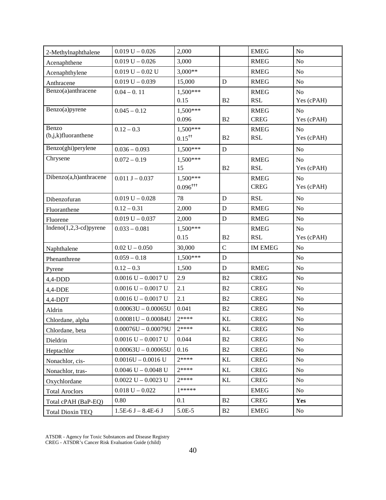| 2-Methylnaphthalene             | $0.019 U - 0.026$       | 2,000                  |               | <b>EMEG</b>    | No             |
|---------------------------------|-------------------------|------------------------|---------------|----------------|----------------|
| Acenaphthene                    | $0.019 U - 0.026$       | 3,000                  |               | <b>RMEG</b>    | No             |
| Acenaphthylene                  | $0.019 U - 0.02 U$      | $3,000**$              |               | <b>RMEG</b>    | N <sub>o</sub> |
| Anthracene                      | $0.019 U - 0.039$       | 15,000                 | $\mathbf D$   | <b>RMEG</b>    | No             |
| Benzo(a)anthracene              | $0.04 - 0.11$           | $1,500***$             |               | <b>RMEG</b>    | N <sub>o</sub> |
|                                 |                         | 0.15                   | B2            | <b>RSL</b>     | Yes (cPAH)     |
| Benzo(a)pyrene                  | $0.045 - 0.12$          | $1,500***$             |               | <b>RMEG</b>    | N <sub>o</sub> |
|                                 |                         | 0.096                  | B2            | <b>CREG</b>    | Yes (cPAH)     |
| Benzo<br>$(b,j,k)$ fluoranthene | $0.12 - 0.3$            | $1,500***$             |               | <b>RMEG</b>    | N <sub>0</sub> |
|                                 |                         | $0.15^{+1}$            | B2            | <b>RSL</b>     | Yes (cPAH)     |
| Benzo(ghi)perylene              | $0.036 - 0.093$         | $1,500***$             | D             |                | No             |
| Chrysene                        | $0.072 - 0.19$          | $1,500***$             |               | <b>RMEG</b>    | N <sub>0</sub> |
|                                 |                         | 15                     | B2            | <b>RSL</b>     | Yes (cPAH)     |
| Dibenzo(a,h)anthracene          | $0.011 J - 0.037$       | $1,500***$             |               | <b>RMEG</b>    | N <sub>o</sub> |
|                                 |                         | $0.096$ <sup>+++</sup> |               | <b>CREG</b>    | Yes (cPAH)     |
| Dibenzofuran                    | $0.019 U - 0.028$       | 78                     | D             | <b>RSL</b>     | N <sub>o</sub> |
| Fluoranthene                    | $0.12 - 0.31$           | 2,000                  | D             | <b>RMEG</b>    | No             |
| Fluorene                        | $0.019 U - 0.037$       | 2,000                  | D             | <b>RMEG</b>    | No             |
| $Indeno(1,2,3-cd)pyrene$        | $0.033 - 0.081$         | 1,500***               |               | <b>RMEG</b>    | N <sub>o</sub> |
|                                 |                         | 0.15                   | B2            | <b>RSL</b>     | Yes (cPAH)     |
| Naphthalene                     | $0.02 U - 0.050$        | 30,000                 | $\mathbf C$   | <b>IM EMEG</b> | No             |
| Phenanthrene                    | $0.059 - 0.18$          | $1,500***$             | ${\bf D}$     |                | No             |
| Pyrene                          | $0.12 - 0.3$            | 1,500                  | D             | <b>RMEG</b>    | No             |
| $4,4$ -DDD                      | $0.0016$ U $- 0.0017$ U | 2.9                    | B2            | <b>CREG</b>    | No             |
| 4,4-DDE                         | $0.0016$ U $- 0.0017$ U | 2.1                    | B2            | <b>CREG</b>    | N <sub>o</sub> |
| $4,4-DDT$                       | $0.0016$ U $- 0.0017$ U | 2.1                    | B2            | <b>CREG</b>    | No             |
| Aldrin                          | $0.00063U - 0.00065U$   | 0.041                  | B2            | <b>CREG</b>    | No             |
| Chlordane, alpha                | $0.00081U - 0.00084U$   | $2****$                | <b>KL</b>     | <b>CREG</b>    | No             |
| Chlordane, beta                 | $0.00076U - 0.00079U$   | $2***$                 | $\mathbf{KL}$ | <b>CREG</b>    | $\rm No$       |
| Dieldrin                        | $0.0016$ U $- 0.0017$ U | 0.044                  | B2            | <b>CREG</b>    | No             |
| Heptachlor                      | $0.00063U - 0.00065U$   | 0.16                   | B2            | <b>CREG</b>    | No             |
| Nonachlor, cis-                 | $0.0016U - 0.0016U$     | $2***$                 | KL            | <b>CREG</b>    | N <sub>0</sub> |
| Nonachlor, tras-                | $0.0046$ U $- 0.0048$ U | 7****                  | KL            | <b>CREG</b>    | No             |
| Oxychlordane                    | $0.0022$ U $- 0.0023$ U | $2***$                 | KL            | <b>CREG</b>    | No             |
| <b>Total Aroclors</b>           | $0.018$ U $- 0.022$     | $1*****$               |               | <b>EMEG</b>    | N <sub>0</sub> |
| Total cPAH (BaP-EQ)             | 0.80                    | 0.1                    | B2            | <b>CREG</b>    | Yes            |
| <b>Total Dioxin TEQ</b>         | $1.5E-6 J - 8.4E-6 J$   | 5.0E-5                 | B2            | <b>EMEG</b>    | No             |

ATSDR - Agency for Toxic Substances and Disease Registry CREG - ATSDR's Cancer Risk Evaluation Guide (child)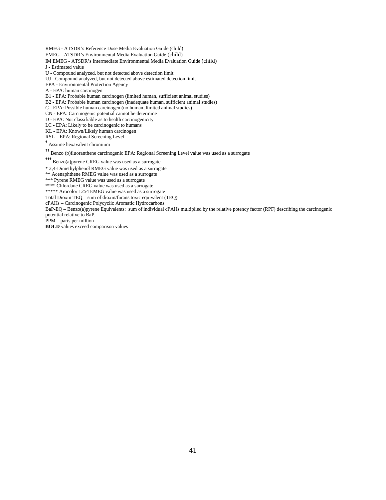RMEG - ATSDR's Reference Dose Media Evaluation Guide (child)

EMEG - ATSDR's Environmental Media Evaluation Guide (child)

- IM EMEG ATSDR's Intermediate Environmental Media Evaluation Guide (child) J - Estimated value
- U Compound analyzed, but not detected above detection limit
- UJ Compound analyzed, but not detected above estimated detection limit
- EPA Environmental Protection Agency
- A EPA: human carcinogen

B1 - EPA: Probable human carcinogen (limited human, sufficient animal studies)

- B2 EPA: Probable human carcinogen (inadequate human, sufficient animal studies)
- C EPA: Possible human carcinogen (no human, limited animal studies)

CN - EPA: Carcinogenic potential cannot be determine

D - EPA: Not classifiable as to health carcinogenicity

LC - EPA: Likely to be carcinogenic to humans

KL - EPA: Known/Likely human carcinogen

RSL – EPA: Regional Screening Level

† Assume hexavalent chromium

†† Benzo (b)fluoranthene carcinogenic EPA: Regional Screening Level value was used as a surrogate

††† Benzo(a)pyrene CREG value was used as a surrogate

\* 2,4-Dimethylphenol RMEG value was used as a surrogate

\*\* Acenaphthene RMEG value was used as a surrogate

\*\*\* Pyrene RMEG value was used as a surrogate

\*\*\*\*\* Chlordane CREG value was used as a surrogate

\*\*\*\*\* Arocolor 1254 EMEG value was used as a surrogate

Total Dioxin TEQ – sum of dioxin/furans toxic equivalent (TEQ)

cPAHs – Carcinogenic Polycyclic Aromatic Hydrocarbons

BaP-EQ – Benzo(a)pyrene Equivalents: sum of individual cPAHs multiplied by the relative potency factor (RPF) describing the carcinogenic potential relative to BaP.

PPM – parts per million

**BOLD** values exceed comparison values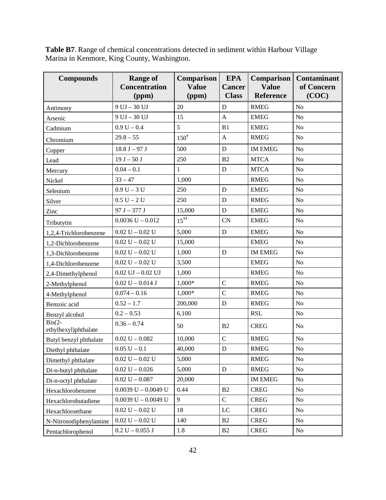**Table B7**. Range of chemical concentrations detected in sediment within Harbour Village Marina in Kenmore, King County, Washington.

| <b>Compounds</b>                 | <b>Range of</b><br>Comparison<br><b>Value</b><br><b>Concentration</b><br>(ppm)<br>(ppm) |                 | <b>EPA</b><br><b>Cancer</b><br><b>Class</b> | Comparison<br><b>Value</b><br>Reference | <b>Contaminant</b><br>of Concern<br>(COC) |
|----------------------------------|-----------------------------------------------------------------------------------------|-----------------|---------------------------------------------|-----------------------------------------|-------------------------------------------|
| Antimony                         | $9$ UJ $-$ 30 UJ                                                                        | 20              | $\mathbf D$                                 | <b>RMEG</b>                             | N <sub>o</sub>                            |
| Arsenic                          | $9$ UJ $-$ 30 UJ                                                                        | 15              | $\mathbf{A}$                                | <b>EMEG</b>                             | N <sub>o</sub>                            |
| Cadmium                          | $0.9 U - 0.4$                                                                           | 5               | B1                                          | <b>EMEG</b>                             | N <sub>o</sub>                            |
| Chromium                         | $29.8 - 55$                                                                             | $150^{\dagger}$ | $\mathbf{A}$                                | <b>RMEG</b>                             | N <sub>o</sub>                            |
| Copper                           | $18.8 J - 97 J$                                                                         | 500             | ${\bf D}$                                   | <b>IM EMEG</b>                          | $\rm No$                                  |
| Lead                             | $19 J - 50 J$                                                                           | 250             | B2                                          | <b>MTCA</b>                             | N <sub>o</sub>                            |
| Mercury                          | $0.04 - 0.1$                                                                            | $\mathbf{1}$    | ${\bf D}$                                   | <b>MTCA</b>                             | No                                        |
| Nickel                           | $33 - 47$                                                                               | 1,000           |                                             | <b>RMEG</b>                             | N <sub>o</sub>                            |
| Selenium                         | $0.9 U - 3 U$                                                                           | 250             | $\mathbf D$                                 | <b>EMEG</b>                             | N <sub>o</sub>                            |
| Silver                           | $0.5 U - 2 U$                                                                           | 250             | D                                           | <b>RMEG</b>                             | No                                        |
| Zinc                             | $97 J - 377 J$                                                                          | 15,000          | $\mathbf D$                                 | <b>EMEG</b>                             | No                                        |
| Tributytin                       | $0.0036$ U $- 0.012$                                                                    | $15^{++}$       | <b>CN</b>                                   | <b>EMEG</b>                             | N <sub>o</sub>                            |
| 1,2,4-Trichlorobenzene           | $0.02 U - 0.02 U$                                                                       | 5,000           | ${\bf D}$                                   | <b>EMEG</b>                             | N <sub>o</sub>                            |
| 1,2-Dichlorobenzene              | $0.02 U - 0.02 U$                                                                       | 15,000          |                                             | <b>EMEG</b>                             | N <sub>o</sub>                            |
| 1,3-Dichlorobenzene              | $0.02 U - 0.02 U$                                                                       | 1,000           | D                                           | <b>IM EMEG</b>                          | No                                        |
| 1,4-Dichlorobenzene              | $0.02 U - 0.02 U$                                                                       | 3,500           |                                             | <b>EMEG</b>                             | N <sub>o</sub>                            |
| 2,4-Dimethylphenol               | $0.02$ UJ $-0.02$ UJ                                                                    | 1,000           |                                             | <b>RMEG</b>                             | N <sub>o</sub>                            |
| 2-Methylphenol                   | $0.02 U - 0.014 J$                                                                      | 1,000*          | $\mathcal{C}$                               | <b>RMEG</b>                             | No                                        |
| 4-Methylphenol                   | $0.074 - 0.16$                                                                          | 1,000*          | $\mathcal{C}$                               | <b>RMEG</b>                             | N <sub>o</sub>                            |
| Benzoic acid                     | $0.52 - 1.7$                                                                            | 200,000         | $\mathbf D$                                 | <b>RMEG</b>                             | N <sub>o</sub>                            |
| Benzyl alcohol                   | $0.2 - 0.53$                                                                            | 6,100           |                                             | <b>RSL</b>                              | No                                        |
| $Bis(2-$<br>ethylhexyl)phthalate | $0.36 - 0.74$                                                                           | 50              | B <sub>2</sub>                              | <b>CREG</b>                             | N <sub>o</sub>                            |
| Butyl benzyl phthalate           | $0.02 U - 0.082$                                                                        | 10,000          | $\overline{C}$                              | <b>RMEG</b>                             | N <sub>o</sub>                            |
| Diethyl phthalate                | $0.05 U - 0.1$                                                                          | 40,000          | $\mathbf D$                                 | <b>RMEG</b>                             | N <sub>o</sub>                            |
| Dimethyl phthalate               | $0.02 U - 0.02 U$                                                                       | 5,000           |                                             | <b>RMEG</b>                             | No                                        |
| Di-n-butyl phthalate             | $0.02 U - 0.026$                                                                        | 5,000           | ${\bf D}$                                   | <b>RMEG</b>                             | No                                        |
| Di-n-octyl phthalate             | $0.02 U - 0.087$                                                                        | 20,000          |                                             | <b>IM EMEG</b>                          | N <sub>o</sub>                            |
| Hexachlorobenzene                | $0.0039$ U $- 0.0049$ U                                                                 | 0.44            | B2                                          | <b>CREG</b>                             | No                                        |
| Hexachlorobutadiene              | $0.0039$ U $- 0.0049$ U                                                                 | 9               | $\mathbf C$                                 | <b>CREG</b>                             | No                                        |
| Hexachloroethane                 | $0.02 U - 0.02 U$                                                                       | 18              | LC                                          | <b>CREG</b>                             | N <sub>o</sub>                            |
| N-Nitrosodiphenylamine           | $0.02 U - 0.02 U$                                                                       | 140             | B2                                          | <b>CREG</b>                             | N <sub>0</sub>                            |
| Pentachlorophenol                | $0.2 U - 0.055 J$                                                                       | 1.8             | B2                                          | CREG                                    | N <sub>0</sub>                            |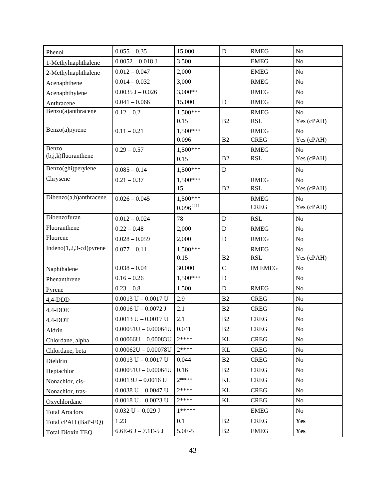| Phenol                          | $0.055 - 0.35$            | 15,000            | D              | <b>RMEG</b>    | No             |
|---------------------------------|---------------------------|-------------------|----------------|----------------|----------------|
| 1-Methylnaphthalene             | $0.0052 - 0.018$ J        | 3,500             |                | <b>EMEG</b>    | No             |
| 2-Methylnaphthalene             | $0.012 - 0.047$           | 2,000             |                | <b>EMEG</b>    | No             |
| Acenaphthene                    | $0.014 - 0.032$           | 3,000             |                | <b>RMEG</b>    | N <sub>o</sub> |
| Acenaphthylene                  | $0.0035$ J $- 0.026$      | $3,000**$         |                | <b>RMEG</b>    | N <sub>o</sub> |
| Anthracene                      | $0.041 - 0.066$           | 15,000            | D              | <b>RMEG</b>    | N <sub>o</sub> |
| Benzo(a)anthracene              | $0.12 - 0.2$              | 1,500***          |                | <b>RMEG</b>    | N <sub>o</sub> |
|                                 |                           | 0.15              | B2             | <b>RSL</b>     | Yes (cPAH)     |
| Benzo(a)pyrene                  | $0.11 - 0.21$             | $1,500***$        |                | <b>RMEG</b>    | No             |
|                                 |                           | 0.096             | B2             | <b>CREG</b>    | Yes (cPAH)     |
| Benzo<br>$(b,j,k)$ fluoranthene | $0.29 - 0.57$             | $1,500***$        |                | <b>RMEG</b>    | No             |
|                                 |                           | $0.15^{+++}$      | B2             | <b>RSL</b>     | Yes (cPAH)     |
| Benzo(ghi)perylene              | $0.085 - 0.14$            | $1,500***$        | D              |                | No             |
| Chrysene                        | $0.21 - 0.37$             | $1,500***$        |                | <b>RMEG</b>    | N <sub>o</sub> |
|                                 |                           | 15                | B2             | <b>RSL</b>     | Yes (cPAH)     |
| Dibenzo(a,h)anthracene          | $0.026 - 0.045$           | $1,500***$        |                | <b>RMEG</b>    | N <sub>o</sub> |
|                                 |                           | $0.096^{+ + + +}$ |                | <b>CREG</b>    | Yes (cPAH)     |
| Dibenzofuran                    | $0.012 - 0.024$           | 78                | ${\bf D}$      | <b>RSL</b>     | No             |
| Fluoranthene                    | $0.22 - 0.48$             | 2,000             | ${\bf D}$      | <b>RMEG</b>    | No             |
| Fluorene                        | $0.028 - 0.059$           | 2,000             | D              | <b>RMEG</b>    | No             |
| Indeno $(1,2,3$ -cd)pyrene      | $0.077 - 0.11$            | $1,500***$        |                | <b>RMEG</b>    | N <sub>o</sub> |
|                                 |                           | 0.15              | B <sub>2</sub> | <b>RSL</b>     | Yes (cPAH)     |
| Naphthalene                     | $0.038 - 0.04$            | 30,000            | $\mathbf C$    | <b>IM EMEG</b> | No             |
| Phenanthrene                    | $0.16 - 0.26$             | $1,500***$        | D              |                | No             |
| Pyrene                          | $0.23 - 0.8$              | 1,500             | $\mathbf D$    | <b>RMEG</b>    | N <sub>o</sub> |
| $4,4$ -DDD                      | $0.0013$ U $- 0.0017$ U   | 2.9               | B <sub>2</sub> | <b>CREG</b>    | No             |
| 4,4-DDE                         | $0.0016$ U $- 0.0072$ J   | 2.1               | B2             | <b>CREG</b>    | No             |
| 4,4-DDT                         | $0.0013$ U $- 0.0017$ U   | 2.1               | B <sub>2</sub> | <b>CREG</b>    | No             |
| Aldrin                          | $0.00051U - 0.00064U$     | 0.041             | B2             | ${\rm CREG}$   | $\rm No$       |
| Chlordane, alpha                | $0.00066$ U $- 0.00083$ U | 7****             | KL             | <b>CREG</b>    | N <sub>o</sub> |
| Chlordane, beta                 | $0.00062U - 0.00078U$     | $2****$           | KL             | <b>CREG</b>    | No             |
| Dieldrin                        | $0.0013$ U $- 0.0017$ U   | 0.044             | B2             | <b>CREG</b>    | N <sub>o</sub> |
| Heptachlor                      | $0.00051U - 0.00064U$     | 0.16              | B2             | <b>CREG</b>    | N <sub>o</sub> |
| Nonachlor, cis-                 | $0.0013U - 0.0016U$       | $2****$           | KL             | <b>CREG</b>    | No             |
| Nonachlor, tras-                | $0.0038$ U $- 0.0047$ U   | 7****             | KL             | <b>CREG</b>    | N <sub>0</sub> |
| Oxychlordane                    | $0.0018$ U $- 0.0023$ U   | $7****$           | KL             | <b>CREG</b>    | N <sub>o</sub> |
| <b>Total Aroclors</b>           | $0.032$ U $- 0.029$ J     | $1*****$          |                | <b>EMEG</b>    | N <sub>o</sub> |
| Total cPAH (BaP-EQ)             | 1.23                      | 0.1               | B2             | <b>CREG</b>    | Yes            |
| <b>Total Dioxin TEQ</b>         | $6.6E-6 J - 7.1E-5 J$     | 5.0E-5            | B <sub>2</sub> | <b>EMEG</b>    | Yes            |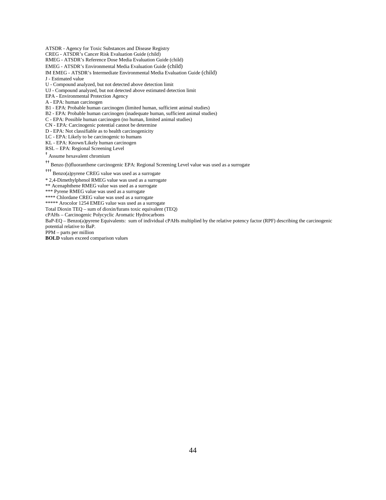ATSDR - Agency for Toxic Substances and Disease Registry

CREG - ATSDR's Cancer Risk Evaluation Guide (child)

RMEG - ATSDR's Reference Dose Media Evaluation Guide (child)

EMEG - ATSDR's Environmental Media Evaluation Guide (child)

IM EMEG - ATSDR's Intermediate Environmental Media Evaluation Guide (child)

J - Estimated value

U - Compound analyzed, but not detected above detection limit

UJ - Compound analyzed, but not detected above estimated detection limit

EPA - Environmental Protection Agency

A - EPA: human carcinogen

B1 - EPA: Probable human carcinogen (limited human, sufficient animal studies)

B2 - EPA: Probable human carcinogen (inadequate human, sufficient animal studies)

C - EPA: Possible human carcinogen (no human, limited animal studies)

CN - EPA: Carcinogenic potential cannot be determine

D - EPA: Not classifiable as to health carcinogenicity

LC - EPA: Likely to be carcinogenic to humans

KL - EPA: Known/Likely human carcinogen

RSL – EPA: Regional Screening Level

† Assume hexavalent chromium

†† Benzo (b)fluoranthene carcinogenic EPA: Regional Screening Level value was used as a surrogate

††† Benzo(a)pyrene CREG value was used as a surrogate

\* 2,4-Dimethylphenol RMEG value was used as a surrogate

\*\* Acenaphthene RMEG value was used as a surrogate

\*\*\* Pyrene RMEG value was used as a surrogate

\*\*\*\*\* Chlordane CREG value was used as a surrogate

\*\*\*\*\* Arocolor 1254 EMEG value was used as a surrogate

Total Dioxin TEQ – sum of dioxin/furans toxic equivalent (TEQ)

cPAHs – Carcinogenic Polycyclic Aromatic Hydrocarbons

BaP-EQ – Benzo(a)pyrene Equivalents: sum of individual cPAHs multiplied by the relative potency factor (RPF) describing the carcinogenic potential relative to BaP.

PPM – parts per million

**BOLD** values exceed comparison values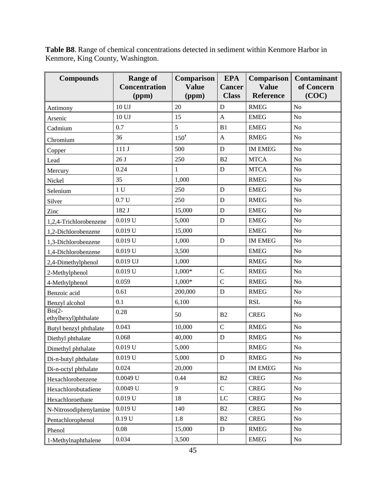**Compounds Range of Concentration (ppm) Comparison Value (ppm) EPA Cancer Class Comparison Value Reference Contaminant of Concern (COC)** Antimony 10 UJ 20 D RMEG No Arsenic  $10 \text{ UJ}$  15  $A$  EMEG No Cadmium 0.7 5 B1 EMEG No Chromium  $36$  150<sup>†</sup>  $\begin{array}{|c|c|c|c|c|} \hline \end{array}$  RMEG No Copper  $111 J$  500 D IM EMEG No Lead  $26 J$   $250$   $B2$   $MTCA$  No Mercury  $\begin{array}{|c|c|c|c|c|c|c|c|c|} \hline 0.24 & 1 & \quad & \text{D} & MTCA & \text{No} \ \hline \end{array}$ Nickel 35 1,000 RMEG No Selenium  $1 U$  250  $D$  EMEG No Silver  $\begin{array}{|c|c|c|c|c|c|c|c|} \hline 0.7 \, \text{U} & 250 & \text{D} & \text{RMEG} & \text{No} \ \hline \end{array}$  $\text{Zinc}$  | 182 J | 15,000 | D | EMEG | No 1,2,4-Trichlorobenzene 0.019 U 5,000 D EMEG No 1,2-Dichlorobenzene 0.019 U 15,000 EMEG No 1,3-Dichlorobenzene 0.019 U 1,000 D IM EMEG No 1,4-Dichlorobenzene 0.019 U 3,500 EMEG No 2,4-Dimethylphenol  $\begin{array}{|c|c|c|c|c|c|c|c|c|} \hline 0.019 & U & 1,000 \hline \end{array}$  RMEG No 2-Methylphenol 0.019 U 1,000\* C RMEG No 4-Methylphenol 0.059 1,000\* C RMEG No Benzoic acid 0.61 200,000 D RMEG No Benzyl alcohol 0.1 6,100 RSL No  $Bis(2$ ethylhexyl)phthalate  $\begin{array}{|c|c|c|c|c|c|c|c|c|} \hline 0.28 & & & 50 & & \text{B2} & & \text{CREG} & & \text{No} \ \hline \end{array}$ Butyl benzyl phthalate 0.043 10,000 C RMEG No Diethyl phthalate  $\begin{array}{|c|c|c|c|c|c|c|c|c|} \hline 0.068 & 40,000 & D & RMEG \ \hline \end{array}$  No

**Table B8**. Range of chemical concentrations detected in sediment within Kenmore Harbor in Kenmore, King County, Washington.

Dimethyl phthalate  $\begin{array}{|c|c|c|c|c|c|} \hline 0.019 \, \text{U} & 5,000 \end{array}$  RMEG No Di-n-butyl phthalate  $\begin{array}{|c|c|c|c|c|c|c|c|c|} \hline 0.019 U & 5,000 & D & RMEG \ \hline \end{array}$  $Di$ -n-octyl phthalate  $\begin{array}{|c|c|c|c|c|c|c|c|c|} \hline 0.024 & 20,000 & \hline \end{array}$  IM EMEG No Hexachlorobenzene 0.0049 U 0.44 B2 CREG No Hexachlorobutadiene 0.0049 U 9 C CREG No Hexachloroethane 0.019 U 18 LC CREG No N-Nitrosodiphenylamine 0.019 U 140 B2 CREG No Pentachlorophenol  $0.19 U$  1.8 B2 CREG No Phenol 0.08 15,000 D RMEG No 1-Methylnaphthalene 0.034 3,500 EMEG No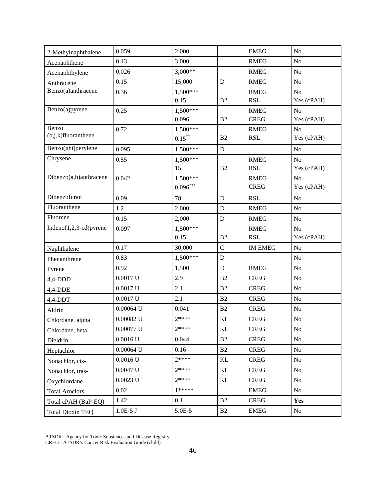| 0.059<br>2-Methylnaphthalene        | 2,000                  |                | <b>EMEG</b>                | N <sub>o</sub> |
|-------------------------------------|------------------------|----------------|----------------------------|----------------|
| 0.13<br>Acenaphthene                | 3,000                  |                | <b>RMEG</b>                | N <sub>o</sub> |
| 0.026<br>Acenaphthylene             | $3,000**$              |                | <b>RMEG</b>                | N <sub>o</sub> |
| 0.15<br>Anthracene                  | 15,000                 | $\mathbf D$    | <b>RMEG</b>                | N <sub>o</sub> |
| Benzo(a)anthracene<br>0.36          | $1.500***$             |                | <b>RMEG</b>                | N <sub>o</sub> |
|                                     | 0.15                   | B <sub>2</sub> | <b>RSL</b>                 | Yes (cPAH)     |
| Benzo(a)pyrene<br>0.25              | $1,500***$             |                | <b>RMEG</b>                | N <sub>o</sub> |
|                                     | 0.096                  | B <sub>2</sub> | <b>CREG</b>                | Yes (cPAH)     |
| Benzo<br>0.72                       | $1,500***$             |                | <b>RMEG</b>                | N <sub>o</sub> |
| $(b,j,k)$ fluoranthene              | $0.15^{+1}$            | B <sub>2</sub> | <b>RSL</b>                 | Yes (cPAH)     |
| Benzo(ghi)perylene<br>0.095         | 1,500***               | ${\bf D}$      |                            | N <sub>o</sub> |
| Chrysene<br>0.55                    | $1,500***$             |                | <b>RMEG</b>                | N <sub>o</sub> |
|                                     | 15                     | B <sub>2</sub> | <b>RSL</b>                 | Yes (cPAH)     |
| Dibenzo(a,h)anthracene<br>0.042     | $1,500***$             |                | <b>RMEG</b>                | N <sub>o</sub> |
|                                     | $0.096$ <sup>†††</sup> |                | <b>CREG</b>                | Yes (cPAH)     |
| Dibenzofuran<br>0.09                | 78                     | ${\bf D}$      | <b>RSL</b>                 | N <sub>o</sub> |
| Fluoranthene<br>1.2                 | 2,000                  | ${\bf D}$      | <b>RMEG</b>                | N <sub>o</sub> |
| Fluorene<br>0.15                    | 2,000                  | D              | <b>RMEG</b>                | N <sub>o</sub> |
| Indeno $(1,2,3$ -cd)pyrene<br>0.097 | 1,500***               |                | <b>RMEG</b>                | N <sub>o</sub> |
|                                     | 0.15                   | B2             | <b>RSL</b>                 | Yes (cPAH)     |
| 0.17<br>Naphthalene                 | 30,000                 | $\mathbf C$    | <b>IM EMEG</b>             | N <sub>o</sub> |
| 0.83<br>Phenanthrene                | 1,500***               | ${\bf D}$      |                            | N <sub>o</sub> |
| 0.92<br>Pyrene                      | 1,500                  | D              | <b>RMEG</b>                | N <sub>o</sub> |
| $0.0017$ U<br>$4,4$ -DDD            | 2.9                    | B2             | <b>CREG</b>                | N <sub>o</sub> |
| $0.0017$ U<br>$4,4-DDE$             | 2.1                    | B2             | <b>CREG</b>                | N <sub>o</sub> |
| $0.0017$ U<br>$4,4$ -DDT            | 2.1                    | B2             | <b>CREG</b>                | N <sub>o</sub> |
| $0.00064$ U<br>Aldrin               | 0.041                  | B2             | <b>CREG</b>                | N <sub>o</sub> |
| $0.00082$ U<br>Chlordane, alpha     | $2***$                 | KL             | <b>CREG</b>                | N <sub>o</sub> |
| $0.00077$ U<br>Chlordane, beta      | $2****$                | $\mathbf{KL}$  | <b>CREG</b>                | $\rm No$       |
| $0.0016$ U<br>Dieldrin              | 0.044                  | B2             | <b>CREG</b>                | N <sub>o</sub> |
| $0.00064$ U<br>Heptachlor           | 0.16                   | B2             | <b>CREG</b>                | No             |
| $0.0016$ U<br>Nonachlor, cis-       | $2***$                 | KL             | <b>CREG</b>                | No             |
| $0.0047$ U<br>Nonachlor, tras-      | 7****                  | KL             | <b>CREG</b>                | No             |
| $0.0023$ U<br>Oxychlordane          |                        |                |                            |                |
| 0.02<br><b>Total Aroclors</b>       | $2***$                 | KL             | <b>CREG</b>                | No             |
|                                     | $1*****$               |                |                            | N <sub>o</sub> |
| 1.42<br>Total cPAH (BaP-EQ)         | 0.1                    | B2             | <b>EMEG</b><br><b>CREG</b> | Yes            |

ATSDR - Agency for Toxic Substances and Disease Registry CREG - ATSDR's Cancer Risk Evaluation Guide (child)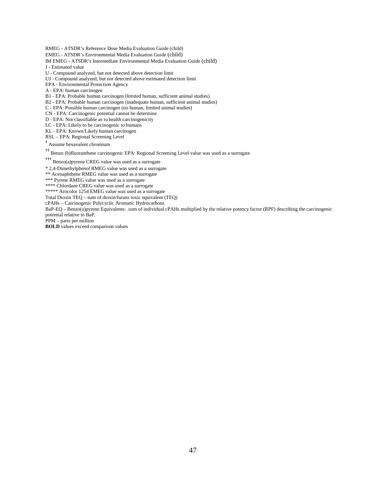RMEG - ATSDR's Reference Dose Media Evaluation Guide (child)

EMEG - ATSDR's Environmental Media Evaluation Guide (child)

- IM EMEG ATSDR's Intermediate Environmental Media Evaluation Guide (child) J - Estimated value
- U Compound analyzed, but not detected above detection limit
- UJ Compound analyzed, but not detected above estimated detection limit
- EPA Environmental Protection Agency
- A EPA: human carcinogen

B1 - EPA: Probable human carcinogen (limited human, sufficient animal studies)

- B2 EPA: Probable human carcinogen (inadequate human, sufficient animal studies)
- C EPA: Possible human carcinogen (no human, limited animal studies)

CN - EPA: Carcinogenic potential cannot be determine

D - EPA: Not classifiable as to health carcinogenicity

LC - EPA: Likely to be carcinogenic to humans

KL - EPA: Known/Likely human carcinogen

RSL – EPA: Regional Screening Level

† Assume hexavalent chromium

†† Benzo (b)fluoranthene carcinogenic EPA: Regional Screening Level value was used as a surrogate

††† Benzo(a)pyrene CREG value was used as a surrogate

\* 2,4-Dimethylphenol RMEG value was used as a surrogate

\*\* Acenaphthene RMEG value was used as a surrogate

\*\*\* Pyrene RMEG value was used as a surrogate

\*\*\*\*\* Chlordane CREG value was used as a surrogate

\*\*\*\*\* Arocolor 1254 EMEG value was used as a surrogate

Total Dioxin TEQ – sum of dioxin/furans toxic equivalent (TEQ)

cPAHs – Carcinogenic Polycyclic Aromatic Hydrocarbons

BaP-EQ – Benzo(a)pyrene Equivalents: sum of individual cPAHs multiplied by the relative potency factor (RPF) describing the carcinogenic potential relative to BaP.

PPM – parts per million

**BOLD** values exceed comparison values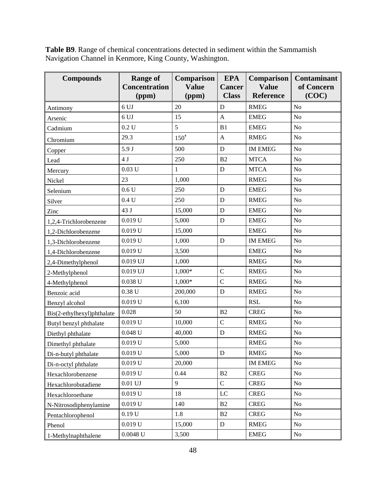**Table B9**. Range of chemical concentrations detected in sediment within the Sammamish Navigation Channel in Kenmore, King County, Washington.

| <b>Compounds</b>           | <b>Range of</b><br><b>Concentration</b><br>(ppm) | Comparison<br><b>Value</b><br>(ppm) | <b>EPA</b><br><b>Cancer</b><br><b>Class</b> | Comparison<br><b>Value</b><br><b>Reference</b> | <b>Contaminant</b><br>of Concern<br>(COC) |
|----------------------------|--------------------------------------------------|-------------------------------------|---------------------------------------------|------------------------------------------------|-------------------------------------------|
| Antimony                   | 6 UJ                                             | 20                                  | D                                           | <b>RMEG</b>                                    | $\rm No$                                  |
| Arsenic                    | 6 UJ                                             | 15                                  | $\mathbf{A}$                                | <b>EMEG</b>                                    | No                                        |
| Cadmium                    | 0.2 U                                            | 5                                   | B1                                          | <b>EMEG</b>                                    | N <sub>o</sub>                            |
| Chromium                   | 29.3                                             | $150^{\dagger}$                     | $\mathbf{A}$                                | <b>RMEG</b>                                    | N <sub>o</sub>                            |
| Copper                     | 5.9 J                                            | 500                                 | $\mathbf D$                                 | <b>IM EMEG</b>                                 | N <sub>o</sub>                            |
| Lead                       | 4J                                               | 250                                 | B2                                          | <b>MTCA</b>                                    | No                                        |
| Mercury                    | 0.03 U                                           | $\mathbf{1}$                        | ${\bf D}$                                   | <b>MTCA</b>                                    | No                                        |
| Nickel                     | 23                                               | 1,000                               |                                             | <b>RMEG</b>                                    | No                                        |
| Selenium                   | 0.6 <sub>U</sub>                                 | 250                                 | D                                           | <b>EMEG</b>                                    | N <sub>o</sub>                            |
| Silver                     | 0.4 U                                            | 250                                 | D                                           | <b>RMEG</b>                                    | No                                        |
| Zinc                       | 43 J                                             | 15,000                              | $\mathbf D$                                 | <b>EMEG</b>                                    | N <sub>o</sub>                            |
| 1,2,4-Trichlorobenzene     | 0.019 U                                          | 5,000                               | ${\bf D}$                                   | <b>EMEG</b>                                    | No                                        |
| 1,2-Dichlorobenzene        | $0.019$ U                                        | 15,000                              |                                             | <b>EMEG</b>                                    | N <sub>o</sub>                            |
| 1,3-Dichlorobenzene        | $0.019$ U                                        | 1,000                               | D                                           | <b>IM EMEG</b>                                 | N <sub>o</sub>                            |
| 1,4-Dichlorobenzene        | 0.019 U                                          | 3,500                               |                                             | <b>EMEG</b>                                    | No                                        |
| 2,4-Dimethylphenol         | $0.019$ UJ                                       | 1,000                               |                                             | <b>RMEG</b>                                    | No                                        |
| 2-Methylphenol             | $0.019$ UJ                                       | 1,000*                              | $\overline{C}$                              | <b>RMEG</b>                                    | N <sub>o</sub>                            |
| 4-Methylphenol             | $0.038$ U                                        | $1,000*$                            | $\overline{C}$                              | <b>RMEG</b>                                    | N <sub>o</sub>                            |
| Benzoic acid               | $0.38$ U                                         | 200,000                             | $\mathbf D$                                 | <b>RMEG</b>                                    | No                                        |
| Benzyl alcohol             | $0.019$ U                                        | 6,100                               |                                             | <b>RSL</b>                                     | No                                        |
| Bis(2-ethylhexyl)phthalate | 0.028                                            | 50                                  | B2                                          | <b>CREG</b>                                    | No                                        |
| Butyl benzyl phthalate     | 0.019 U                                          | 10,000                              | $\mathsf{C}$                                | <b>RMEG</b>                                    | N <sub>o</sub>                            |
| Diethyl phthalate          | $0.048$ U                                        | 40,000                              | D                                           | <b>RMEG</b>                                    | N <sub>o</sub>                            |
| Dimethyl phthalate         | $0.019$ U                                        | 5,000                               |                                             | <b>RMEG</b>                                    | No                                        |
| Di-n-butyl phthalate       | 0.019 U                                          | 5,000                               | ${\bf D}$                                   | RMEG                                           | No                                        |
| Di-n-octyl phthalate       | 0.019 U                                          | 20,000                              |                                             | <b>IM EMEG</b>                                 | No                                        |
| Hexachlorobenzene          | $0.019$ U                                        | 0.44                                | B2                                          | <b>CREG</b>                                    | No                                        |
| Hexachlorobutadiene        | $0.01$ UJ                                        | 9                                   | $\overline{C}$                              | <b>CREG</b>                                    | No                                        |
| Hexachloroethane           | $0.019$ U                                        | 18                                  | $\rm LC$                                    | <b>CREG</b>                                    | No                                        |
| N-Nitrosodiphenylamine     | 0.019 U                                          | 140                                 | B2                                          | <b>CREG</b>                                    | No                                        |
| Pentachlorophenol          | 0.19 U                                           | 1.8                                 | B2                                          | <b>CREG</b>                                    | No                                        |
| Phenol                     | 0.019 U                                          | 15,000                              | ${\bf D}$                                   | <b>RMEG</b>                                    | No                                        |
| 1-Methylnaphthalene        | $0.0048$ U                                       | 3,500                               |                                             | <b>EMEG</b>                                    | No                                        |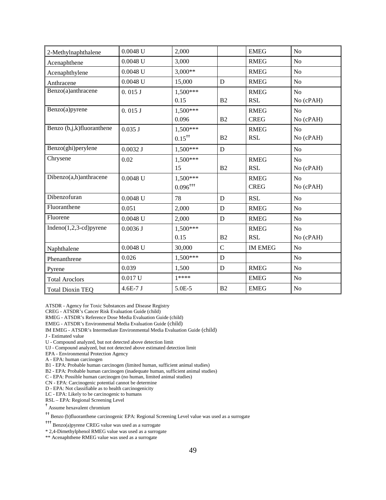| 2-Methylnaphthalene       | $0.0048$ U | 2,000                  |             | <b>EMEG</b>    | No             |
|---------------------------|------------|------------------------|-------------|----------------|----------------|
| Acenaphthene              | $0.0048$ U | 3,000                  |             | <b>RMEG</b>    | No             |
| Acenaphthylene            | $0.0048$ U | $3,000**$              |             | <b>RMEG</b>    | N <sub>o</sub> |
| Anthracene                | $0.0048$ U | 15,000                 | ${\bf D}$   | <b>RMEG</b>    | N <sub>o</sub> |
| Benzo(a)anthracene        | 0.015J     | 1,500***               |             | <b>RMEG</b>    | No             |
|                           |            | 0.15                   | B2          | <b>RSL</b>     | No (cPAH)      |
| Benzo(a)pyrene            | 0.015J     | 1,500***               |             | <b>RMEG</b>    | N <sub>o</sub> |
|                           |            | 0.096                  | B2          | <b>CREG</b>    | No (cPAH)      |
| Benzo (b,j,k)fluoranthene | $0.035$ J  | 1,500***               |             | <b>RMEG</b>    | N <sub>o</sub> |
|                           |            | $0.15^{+1}$            | B2          | <b>RSL</b>     | No (cPAH)      |
| Benzo(ghi)perylene        | $0.0032$ J | 1,500***               | ${\bf D}$   |                | No             |
| Chrysene                  | 0.02       | $1,500***$             |             | <b>RMEG</b>    | No             |
|                           |            | 15                     | B2          | <b>RSL</b>     | No (cPAH)      |
| Dibenzo(a,h)anthracene    | $0.0048$ U | 1,500***               |             | <b>RMEG</b>    | N <sub>o</sub> |
|                           |            | $0.096$ <sup>†††</sup> |             | <b>CREG</b>    | No (cPAH)      |
| Dibenzofuran              | $0.0048$ U | 78                     | D           | <b>RSL</b>     | No             |
| Fluoranthene              | 0.051      | 2,000                  | D           | <b>RMEG</b>    | No             |
| Fluorene                  | $0.0048$ U | 2,000                  | ${\bf D}$   | <b>RMEG</b>    | No             |
| $Indeno(1,2,3-cd)pyrene$  | 0.0036J    | 1,500***               |             | <b>RMEG</b>    | No             |
|                           |            | 0.15                   | B2          | <b>RSL</b>     | No (cPAH)      |
| Naphthalene               | $0.0048$ U | 30,000                 | $\mathbf C$ | <b>IM EMEG</b> | No             |
| Phenanthrene              | 0.026      | 1,500***               | D           |                | N <sub>o</sub> |
| Pyrene                    | 0.039      | 1,500                  | ${\bf D}$   | <b>RMEG</b>    | N <sub>o</sub> |
| <b>Total Aroclors</b>     | $0.017$ U  | $1****$                |             | <b>EMEG</b>    | N <sub>o</sub> |
| <b>Total Dioxin TEQ</b>   | $4.6E-7J$  | 5.0E-5                 | B2          | <b>EMEG</b>    | N <sub>o</sub> |

ATSDR - Agency for Toxic Substances and Disease Registry

CREG - ATSDR's Cancer Risk Evaluation Guide (child)

RMEG - ATSDR's Reference Dose Media Evaluation Guide (child)

EMEG - ATSDR's Environmental Media Evaluation Guide (child)

IM EMEG - ATSDR's Intermediate Environmental Media Evaluation Guide (child)

J - Estimated value

U - Compound analyzed, but not detected above detection limit

UJ - Compound analyzed, but not detected above estimated detection limit

EPA - Environmental Protection Agency

A - EPA: human carcinogen

B1 - EPA: Probable human carcinogen (limited human, sufficient animal studies)

B2 - EPA: Probable human carcinogen (inadequate human, sufficient animal studies)

C - EPA: Possible human carcinogen (no human, limited animal studies)

CN - EPA: Carcinogenic potential cannot be determine

D - EPA: Not classifiable as to health carcinogenicity

LC - EPA: Likely to be carcinogenic to humans

RSL – EPA: Regional Screening Level

† Assume hexavalent chromium

†† Benzo (b)fluoranthene carcinogenic EPA: Regional Screening Level value was used as a surrogate

††† Benzo(a)pyrene CREG value was used as a surrogate

\* 2,4-Dimethylphenol RMEG value was used as a surrogate

\*\* Acenaphthene RMEG value was used as a surrogate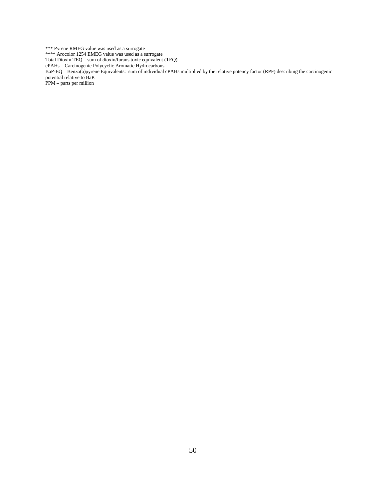\*\*\* Pyrene RMEG value was used as a surrogate \*\*\*\* Arocolor 1254 EMEG value was used as a surrogate Total Dioxin TEQ – sum of dioxin/furans toxic equivalent (TEQ) cPAHs – Carcinogenic Polycyclic Aromatic Hydrocarbons BaP-EQ – Benzo(a)pyrene Equivalents: sum of individual cPAHs multiplied by the relative potency factor (RPF) describing the carcinogenic potential relative to BaP. PPM – parts per million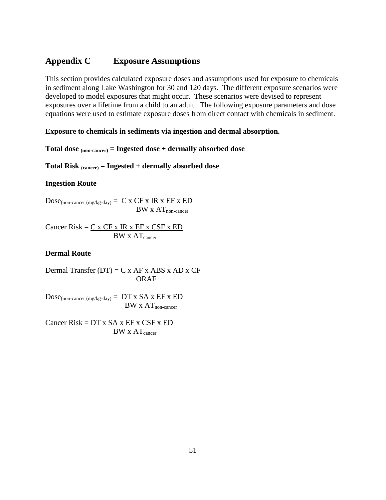### <span id="page-51-0"></span>**Appendix C Exposure Assumptions**

This section provides calculated exposure doses and assumptions used for exposure to chemicals in sediment along Lake Washington for 30 and 120 days. The different exposure scenarios were developed to model exposures that might occur. These scenarios were devised to represent exposures over a lifetime from a child to an adult. The following exposure parameters and dose equations were used to estimate exposure doses from direct contact with chemicals in sediment.

#### **Exposure to chemicals in sediments via ingestion and dermal absorption.**

**Total dose (non-cancer) = Ingested dose + dermally absorbed dose** 

**Total Risk (cancer) = Ingested + dermally absorbed dose** 

#### **Ingestion Route**

 $Dose_{(non\text{-}cancer \,(mg/kg\text{-}day))} = \underline{C \times CF \times IR \times EF \times ED}$  $BW \times AT_{non-cancer}$ 

Cancer  $Risk = C x CF x IR x EF x CSF x ED$  $BW \times AT_{cancer}$ 

#### **Dermal Route**

Dermal Transfer (DT) =  $C x AF x ABS x AD x CF$ ORAF

 $Dose_{(non-cancer (mg/kg-day))} = DT x SA x EF x ED$  $BW \times AT_{non-cancer}$ 

Cancer  $Risk = DT x SA x EF x CSF x ED$  $BW \times AT_{\text{cancer}}$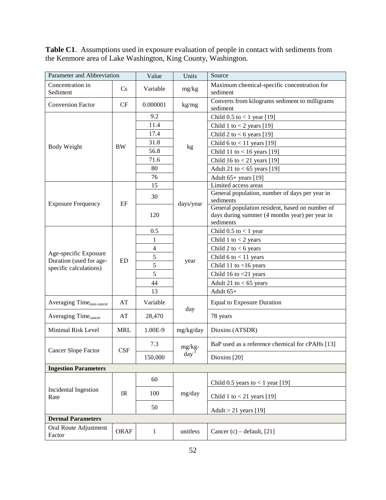**Table C1**. Assumptions used in exposure evaluation of people in contact with sediments from the Kenmore area of Lake Washington, King County, Washington.

| Parameter and Abbreviation                        |                                   | Value          | Units      | Source                                                                                                         |
|---------------------------------------------------|-----------------------------------|----------------|------------|----------------------------------------------------------------------------------------------------------------|
| Concentration in<br>Sediment                      | Cs                                | Variable       | mg/kg      | Maximum chemical-specific concentration for<br>sediment                                                        |
| <b>Conversion Factor</b>                          | CF                                | 0.000001       | kg/mg      | Converts from kilograms sediment to milligrams<br>sediment                                                     |
|                                                   |                                   | 9.2            |            | Child $0.5$ to < 1 year [19]                                                                                   |
|                                                   |                                   | 11.4           |            | Child 1 to $<$ 2 years [19]                                                                                    |
|                                                   |                                   | 17.4           |            | Child 2 to $<$ 6 years [19]                                                                                    |
| <b>Body Weight</b>                                | <b>BW</b>                         | 31.8           |            | Child 6 to $<$ 11 years [19]                                                                                   |
|                                                   |                                   | 56.8           | kg         | Child 11 to $<$ 16 years [19]                                                                                  |
|                                                   |                                   | 71.6           |            | Child 16 to $<$ 21 years [19]                                                                                  |
|                                                   |                                   | 80             |            | Adult 21 to $<$ 65 years [19]                                                                                  |
|                                                   |                                   | 76             |            | Adult 65+ years [19]                                                                                           |
|                                                   |                                   | 15             |            | Limited access areas                                                                                           |
|                                                   | EF                                | 30             |            | General population, number of days per year in<br>sediments                                                    |
| <b>Exposure Frequency</b>                         |                                   | 120            | days/year  | General population resident, based on number of<br>days during summer (4 months year) per year in<br>sediments |
|                                                   |                                   | 0.5            |            | Child $0.5$ to $< 1$ year                                                                                      |
|                                                   |                                   | 1              |            | Child 1 to $<$ 2 years                                                                                         |
|                                                   | <b>ED</b>                         | $\overline{4}$ |            | Child 2 to $<$ 6 years                                                                                         |
| Age-specific Exposure                             |                                   | 5              |            | Child $6$ to $<$ 11 years                                                                                      |
| Duration (used for age-<br>specific calculations) |                                   | 5              | year       | Child 11 to $<$ 16 years                                                                                       |
|                                                   |                                   | 5              |            | Child 16 to $<$ 21 years                                                                                       |
|                                                   |                                   | 44             |            | Adult 21 to $< 65$ years                                                                                       |
|                                                   |                                   | 13             |            | Adult $65+$                                                                                                    |
| Averaging Time <sub>non-cancer</sub>              | AT                                | Variable       |            | <b>Equal to Exposure Duration</b>                                                                              |
| Averaging Time <sub>cancer</sub>                  | AT                                | 28,470         | day        | 78 years                                                                                                       |
| Minimal Risk Level                                | <b>MRL</b>                        | 1.00E-9        | mg/kg/day  | Dioxins (ATSDR)                                                                                                |
| <b>Cancer Slope Factor</b>                        | CSF                               | 7.3            | mg/kg-     | BaP used as a reference chemical for cPAHs [13]                                                                |
|                                                   |                                   | 150,000        | $day^{-1}$ | Dioxins [20]                                                                                                   |
| <b>Ingestion Parameters</b>                       |                                   |                |            |                                                                                                                |
|                                                   |                                   | 60             |            | Child 0.5 years to $<$ 1 year [19]                                                                             |
| Incidental Ingestion<br>Rate                      | $\ensuremath{\mathsf{IR}}\xspace$ | 100            | mg/day     | Child 1 to $<$ 21 years [19]                                                                                   |
|                                                   |                                   | 50             |            | Adult $>$ 21 years [19]                                                                                        |
| <b>Dermal Parameters</b>                          |                                   |                |            |                                                                                                                |
| Oral Route Adjustment<br>Factor                   | <b>ORAF</b>                       | $\mathbf{1}$   | unitless   | Cancer (c) – default, $[21]$                                                                                   |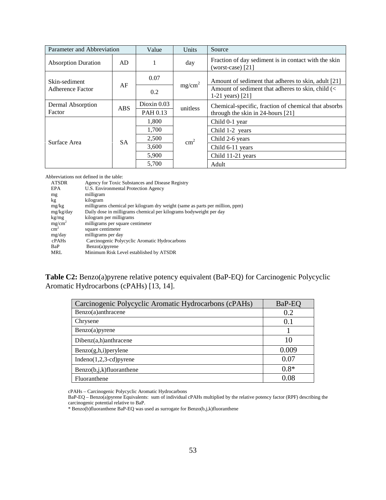| Parameter and Abbreviation               |            | Value         | Units              | Source                                                                      |  |  |
|------------------------------------------|------------|---------------|--------------------|-----------------------------------------------------------------------------|--|--|
| <b>Absorption Duration</b>               | AD.        |               | day                | Fraction of day sediment is in contact with the skin<br>(worst-case) $[21]$ |  |  |
| Skin-sediment<br><b>Adherence Factor</b> | AF         | 0.07          |                    | Amount of sediment that adheres to skin, adult [21]                         |  |  |
|                                          |            | 0.2           | mg/cm <sup>2</sup> | Amount of sediment that adheres to skin, child (<<br>1-21 years) $[21]$     |  |  |
| Dermal Absorption                        | <b>ABS</b> | Dioxin $0.03$ | unitless           | Chemical-specific, fraction of chemical that absorbs                        |  |  |
| Factor                                   |            | PAH 0.13      |                    | through the skin in 24-hours $[21]$                                         |  |  |
|                                          | <b>SA</b>  | 1,800         |                    | Child 0-1 year                                                              |  |  |
|                                          |            | 1,700         | $\text{cm}^2$      | Child 1-2 years                                                             |  |  |
| Surface Area                             |            | 2,500         |                    | Child 2-6 years                                                             |  |  |
|                                          |            | 3,600         |                    | Child 6-11 years                                                            |  |  |
|                                          |            | 5,900         |                    | Child 11-21 years                                                           |  |  |
|                                          |            | 5,700         |                    | Adult                                                                       |  |  |

Abbreviations not defined in the table:

| <b>ATSDR</b>       | Agency for Toxic Substances and Disease Registry                             |
|--------------------|------------------------------------------------------------------------------|
| <b>EPA</b>         | U.S. Environmental Protection Agency                                         |
| mg                 | milligram                                                                    |
| kg                 | kilogram                                                                     |
| mg/kg              | milligrams chemical per kilogram dry weight (same as parts per million, ppm) |
| mg/kg/day          | Daily dose in milligrams chemical per kilograms bodyweight per day           |
| kg/mg              | kilogram per milligrams                                                      |
| mg/cm <sup>2</sup> | milligrams per square centimeter                                             |
| $\text{cm}^2$      | square centimeter                                                            |
| mg/day             | milligrams per day                                                           |
| cPAHs              | Carcinogenic Polycyclic Aromatic Hydrocarbons                                |
| BaP                | $Benzo(a)$ pyrene                                                            |
| MRL                | Minimum Risk Level established by ATSDR                                      |
|                    |                                                                              |

**Table C2:** Benzo(a)pyrene relative potency equivalent (BaP-EQ) for Carcinogenic Polycyclic Aromatic Hydrocarbons (cPAHs) [13, 14].

| Carcinogenic Polycyclic Aromatic Hydrocarbons (cPAHs) | BaP-EQ |
|-------------------------------------------------------|--------|
| Benzo(a)anthracene                                    | 0.2    |
| Chrysene                                              | 0.1    |
| Benzo(a)pyrene                                        |        |
| $Dibenz(a,h)$ anthracene                              | 10     |
| Benzo(g,h,i)perylene                                  | 0.009  |
| Indeno $(1,2,3$ -cd) pyrene                           | 0.07   |
| $Benzo(b,j,k)$ fluoranthene                           | $0.8*$ |
| Fluoranthene                                          | 0.08   |

cPAHs – Carcinogenic Polycyclic Aromatic Hydrocarbons

BaP-EQ – Benzo(a)pyrene Equivalents: sum of individual cPAHs multiplied by the relative potency factor (RPF) describing the carcinogenic potential relative to BaP.

\* Benzo(b)fluoranthene BaP-EQ was used as surrogate for Benzo(b,j,k)fluoranthene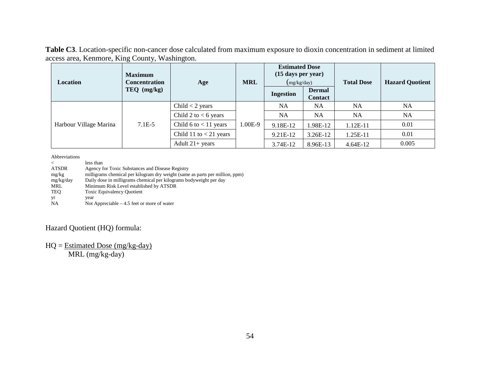**Table C3**. Location-specific non-cancer dose calculated from maximum exposure to dioxin concentration in sediment at limited access area, Kenmore, King County, Washington.

| <b>Location</b>        | <b>Maximum</b><br><b>Concentration</b> | Age                      | <b>MRL</b> | <b>Estimated Dose</b><br>(15 days per year)<br>(mg/kg/day) |                                 | <b>Total Dose</b> | <b>Hazard Quotient</b> |  |
|------------------------|----------------------------------------|--------------------------|------------|------------------------------------------------------------|---------------------------------|-------------------|------------------------|--|
|                        | $TEQ$ (mg/kg)                          |                          |            | <b>Ingestion</b>                                           | <b>Dermal</b><br><b>Contact</b> |                   |                        |  |
| Harbour Village Marina | $7.1E-5$                               | Child $<$ 2 years        |            | <b>NA</b>                                                  | <b>NA</b>                       | <b>NA</b>         | <b>NA</b>              |  |
|                        |                                        | Child 2 to $< 6$ years   |            | <b>NA</b>                                                  | <b>NA</b>                       | <b>NA</b>         | <b>NA</b>              |  |
|                        |                                        | Child 6 to $<$ 11 years  | 1.00E-9    | 9.18E-12                                                   | .98E-12                         | $1.12E-11$        | 0.01                   |  |
|                        |                                        | Child 11 to $< 21$ years |            | 9.21E-12                                                   | $3.26E-12$                      | 1.25E-11          | 0.01                   |  |
|                        |                                        | Adult $21+$ years        |            | 3.74E-12                                                   | 8.96E-13                        | $4.64E-12$        | 0.005                  |  |

Abbreviations

< less than<br>ATSDR Agency f ATSDR Agency for Toxic Substances and Disease Registry<br>mg/kg milligrams chemical per kilogram dry weight (same milligrams chemical per kilogram dry weight (same as parts per million, ppm) mg/kg/day Daily dose in milligrams chemical per kilograms bodyweight per day<br>MRL Minimum Risk Level established by ATSDR MRL Minimum Risk Level established by ATSDR<br>TEQ Toxic Equivalency Quotient Toxic Equivalency Quotient yr year<br>NA Not Not Appreciable  $-4.5$  feet or more of water

### Hazard Quotient (HQ) formula:

#### $HQ = Estimated Does (mg/kg-day)$

MRL (mg/kg-day)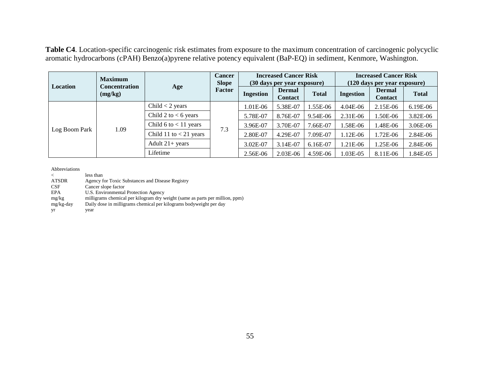**Table C4**. Location-specific carcinogenic risk estimates from exposure to the maximum concentration of carcinogenic polycyclic aromatic hydrocarbons (cPAH) Benzo(a)pyrene relative potency equivalent (BaP-EQ) in sediment, Kenmore, Washington.

|               | <b>Maximum</b><br><b>Concentration</b><br>(mg/kg) | Age                      | <b>Cancer</b><br><b>Slope</b><br>Factor | <b>Increased Cancer Risk</b><br>(30 days per year exposure) |                                 |              | <b>Increased Cancer Risk</b><br>(120 days per year exposure) |                                 |              |
|---------------|---------------------------------------------------|--------------------------|-----------------------------------------|-------------------------------------------------------------|---------------------------------|--------------|--------------------------------------------------------------|---------------------------------|--------------|
| Location      |                                                   |                          |                                         | <b>Ingestion</b>                                            | <b>Dermal</b><br><b>Contact</b> | <b>Total</b> | <b>Ingestion</b>                                             | <b>Dermal</b><br><b>Contact</b> | <b>Total</b> |
| Log Boom Park | 1.09                                              | Child $<$ 2 years        | 7.3                                     | 1.01E-06                                                    | 5.38E-07                        | 1.55E-06     | $4.04E-06$                                                   | 2.15E-06                        | 6.19E-06     |
|               |                                                   | Child 2 to $< 6$ years   |                                         | 5.78E-07                                                    | 8.76E-07                        | 9.54E-06     | $2.31E-06$                                                   | 1.50E-06                        | 3.82E-06     |
|               |                                                   | Child 6 to $<$ 11 years  |                                         | 3.96E-07                                                    | 3.70E-07                        | 7.66E-07     | .58E-06                                                      | 1.48E-06                        | 3.06E-06     |
|               |                                                   | Child 11 to $<$ 21 years |                                         | 2.80E-07                                                    | 4.29E-07                        | 7.09E-07     | 1.12E-06                                                     | 1.72E-06                        | 2.84E-06     |
|               |                                                   | Adult $21+$ years        |                                         | 3.02E-07                                                    | 3.14E-07                        | $6.16E-07$   | 1.21E-06                                                     | 1.25E-06                        | 2.84E-06     |
|               |                                                   | Lifetime                 |                                         | 2.56E-06                                                    | 2.03E-06                        | 4.59E-06     | $0.03E - 0.5$                                                | 8.11E-06                        | 1.84E-05     |

Abbreviations

< less than<br>ATSDR Agency f Agency for Toxic Substances and Disease Registry

CSF Cancer slope factor<br>EPA U.S. Environmental

EPA U.S. Environmental Protection Agency<br>mg/kg milligrams chemical per kilogram dry w

mg/kg milligrams chemical per kilogram dry weight (same as parts per million, ppm)<br>mg/kg-day Daily dose in milligrams chemical per kilograms bodyweight per day

Daily dose in milligrams chemical per kilograms bodyweight per day

yr year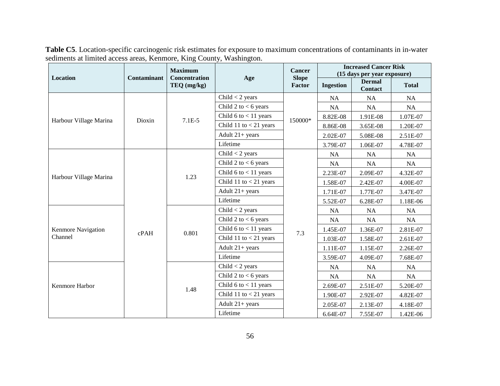|                        |             | <b>Maximum</b>                      |                           | Cancer                 | <b>Increased Cancer Risk</b><br>(15 days per year exposure) |                                 |              |  |
|------------------------|-------------|-------------------------------------|---------------------------|------------------------|-------------------------------------------------------------|---------------------------------|--------------|--|
| Location               | Contaminant | <b>Concentration</b><br>TEQ (mg/kg) | Age                       | <b>Slope</b><br>Factor | <b>Ingestion</b>                                            | <b>Dermal</b><br><b>Contact</b> | <b>Total</b> |  |
|                        |             | $7.1E-5$                            | Child $<$ 2 years         |                        | NA                                                          | NA                              | NA           |  |
|                        |             |                                     | Child 2 to $<$ 6 years    | 150000*                | NA                                                          | NA                              | NA           |  |
| Harbour Village Marina | Dioxin      |                                     | Child $6$ to $<$ 11 years |                        | 8.82E-08                                                    | 1.91E-08                        | 1.07E-07     |  |
|                        |             |                                     | Child 11 to $<$ 21 years  |                        | 8.86E-08                                                    | 3.65E-08                        | 1.20E-07     |  |
|                        |             |                                     | Adult $21+$ years         |                        | 2.02E-07                                                    | 5.08E-08                        | 2.51E-07     |  |
|                        |             |                                     | Lifetime                  |                        | 3.79E-07                                                    | 1.06E-07                        | 4.78E-07     |  |
|                        |             |                                     | Child $<$ 2 years         |                        | NA                                                          | NA                              | NA           |  |
|                        |             | 1.23                                | Child 2 to $<$ 6 years    |                        | NA                                                          | NA                              | NA           |  |
| Harbour Village Marina |             |                                     | Child 6 to $<$ 11 years   |                        | 2.23E-07                                                    | 2.09E-07                        | 4.32E-07     |  |
|                        | cPAH        |                                     | Child 11 to $<$ 21 years  |                        | 1.58E-07                                                    | 2.42E-07                        | 4.00E-07     |  |
|                        |             |                                     | Adult $21+$ years         |                        | 1.71E-07                                                    | 1.77E-07                        | 3.47E-07     |  |
|                        |             |                                     | Lifetime                  |                        | 5.52E-07                                                    | 6.28E-07                        | 1.18E-06     |  |
|                        |             | 0.801                               | Child $<$ 2 years         |                        | <b>NA</b>                                                   | <b>NA</b>                       | <b>NA</b>    |  |
|                        |             |                                     | Child 2 to $<$ 6 years    | 7.3                    | <b>NA</b>                                                   | NA.                             | <b>NA</b>    |  |
| Kenmore Navigation     |             |                                     | Child 6 to $<$ 11 years   |                        | 1.45E-07                                                    | 1.36E-07                        | 2.81E-07     |  |
| Channel                |             |                                     | Child 11 to $<$ 21 years  |                        | 1.03E-07                                                    | 1.58E-07                        | 2.61E-07     |  |
|                        |             |                                     | Adult $21+ years$         |                        | 1.11E-07                                                    | 1.15E-07                        | 2.26E-07     |  |
|                        |             |                                     | Lifetime                  |                        | 3.59E-07                                                    | 4.09E-07                        | 7.68E-07     |  |
|                        |             |                                     | Child $<$ 2 years         |                        | NA                                                          | NA                              | NA           |  |
| Kenmore Harbor         |             | 1.48                                | Child 2 to $<$ 6 years    |                        | NA                                                          | <b>NA</b>                       | NA           |  |
|                        |             |                                     | Child $6$ to $<$ 11 years |                        | 2.69E-07                                                    | 2.51E-07                        | 5.20E-07     |  |
|                        |             |                                     | Child 11 to $<$ 21 years  |                        | 1.90E-07                                                    | 2.92E-07                        | 4.82E-07     |  |
|                        |             |                                     | Adult $21+ years$         |                        | 2.05E-07                                                    | 2.13E-07                        | 4.18E-07     |  |
|                        |             |                                     | Lifetime                  |                        | 6.64E-07                                                    | 7.55E-07                        | 1.42E-06     |  |

**Table C5**. Location-specific carcinogenic risk estimates for exposure to maximum concentrations of contaminants in in-water sediments at limited access areas, Kenmore, King County, Washington.